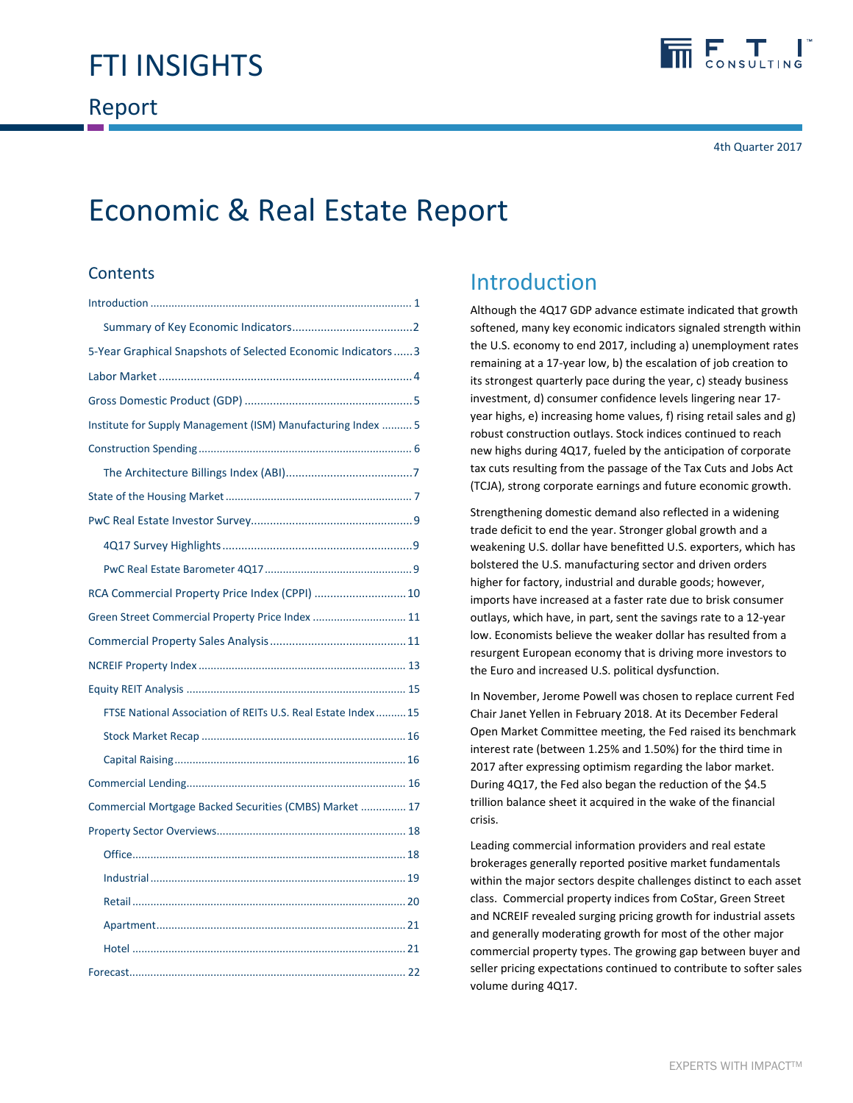

4th Quarter 2017

# Economic & Real Estate Report

# **Contents**

| 5-Year Graphical Snapshots of Selected Economic Indicators 3  |  |
|---------------------------------------------------------------|--|
|                                                               |  |
|                                                               |  |
| Institute for Supply Management (ISM) Manufacturing Index  5  |  |
|                                                               |  |
|                                                               |  |
|                                                               |  |
|                                                               |  |
|                                                               |  |
|                                                               |  |
| RCA Commercial Property Price Index (CPPI)  10                |  |
| Green Street Commercial Property Price Index  11              |  |
|                                                               |  |
|                                                               |  |
|                                                               |  |
| FTSE National Association of REITs U.S. Real Estate Index  15 |  |
|                                                               |  |
|                                                               |  |
|                                                               |  |
| Commercial Mortgage Backed Securities (CMBS) Market  17       |  |
|                                                               |  |
|                                                               |  |
|                                                               |  |
|                                                               |  |
|                                                               |  |
|                                                               |  |
|                                                               |  |

# Introduction

Although the 4Q17 GDP advance estimate indicated that growth softened, many key economic indicators signaled strength within the U.S. economy to end 2017, including a) unemployment rates remaining at a 17‐year low, b) the escalation of job creation to its strongest quarterly pace during the year, c) steady business investment, d) consumer confidence levels lingering near 17‐ year highs, e) increasing home values, f) rising retail sales and g) robust construction outlays. Stock indices continued to reach new highs during 4Q17, fueled by the anticipation of corporate tax cuts resulting from the passage of the Tax Cuts and Jobs Act (TCJA), strong corporate earnings and future economic growth.

Strengthening domestic demand also reflected in a widening trade deficit to end the year. Stronger global growth and a weakening U.S. dollar have benefitted U.S. exporters, which has bolstered the U.S. manufacturing sector and driven orders higher for factory, industrial and durable goods; however, imports have increased at a faster rate due to brisk consumer outlays, which have, in part, sent the savings rate to a 12‐year low. Economists believe the weaker dollar has resulted from a resurgent European economy that is driving more investors to the Euro and increased U.S. political dysfunction.

In November, Jerome Powell was chosen to replace current Fed Chair Janet Yellen in February 2018. At its December Federal Open Market Committee meeting, the Fed raised its benchmark interest rate (between 1.25% and 1.50%) for the third time in 2017 after expressing optimism regarding the labor market. During 4Q17, the Fed also began the reduction of the \$4.5 trillion balance sheet it acquired in the wake of the financial crisis.

Leading commercial information providers and real estate brokerages generally reported positive market fundamentals within the major sectors despite challenges distinct to each asset class. Commercial property indices from CoStar, Green Street and NCREIF revealed surging pricing growth for industrial assets and generally moderating growth for most of the other major commercial property types. The growing gap between buyer and seller pricing expectations continued to contribute to softer sales volume during 4Q17.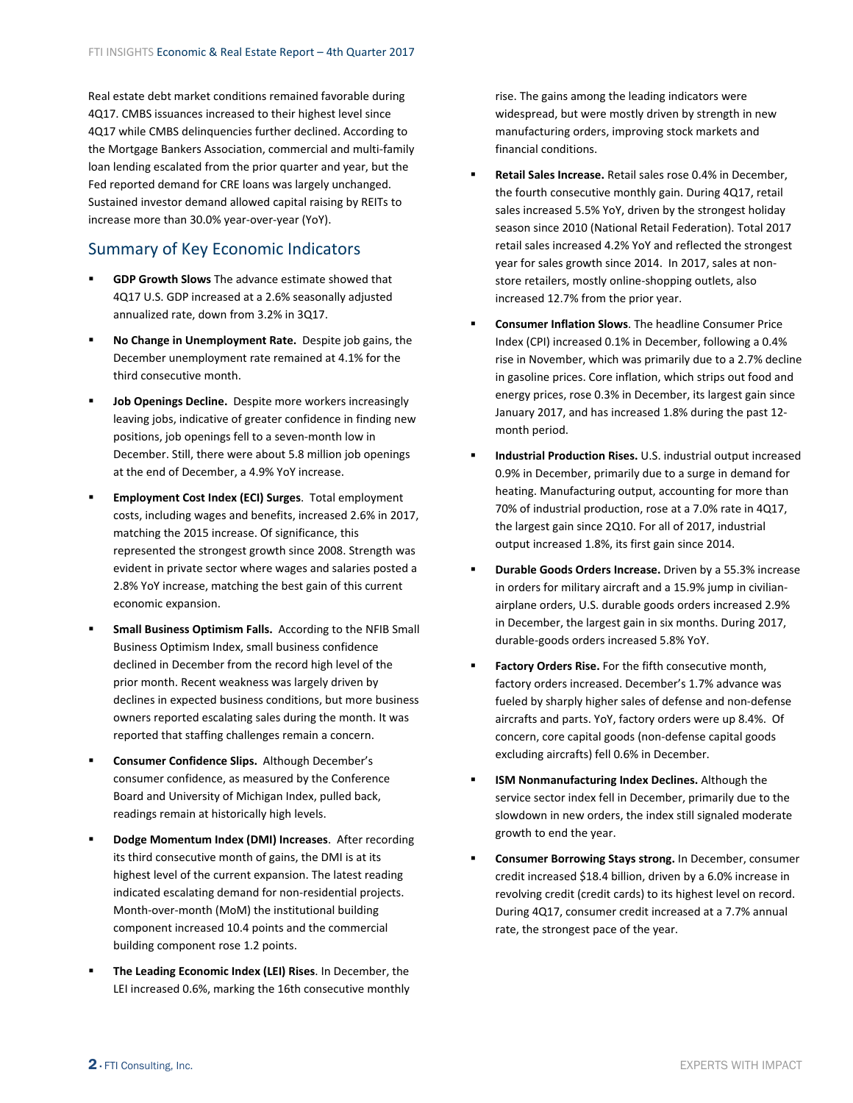<span id="page-1-0"></span>Real estate debt market conditions remained favorable during 4Q17. CMBS issuances increased to their highest level since 4Q17 while CMBS delinquencies further declined. According to the Mortgage Bankers Association, commercial and multi‐family loan lending escalated from the prior quarter and year, but the Fed reported demand for CRE loans was largely unchanged. Sustained investor demand allowed capital raising by REITs to increase more than 30.0% year‐over‐year (YoY).

# Summary of Key Economic Indicators

- **GDP Growth Slows** The advance estimate showed that 4Q17 U.S. GDP increased at a 2.6% seasonally adjusted annualized rate, down from 3.2% in 3Q17.
- **No Change in Unemployment Rate.** Despite job gains, the December unemployment rate remained at 4.1% for the third consecutive month.
- **Job Openings Decline.** Despite more workers increasingly leaving jobs, indicative of greater confidence in finding new positions, job openings fell to a seven‐month low in December. Still, there were about 5.8 million job openings at the end of December, a 4.9% YoY increase.
- **Employment Cost Index (ECI) Surges**. Total employment costs, including wages and benefits, increased 2.6% in 2017, matching the 2015 increase. Of significance, this represented the strongest growth since 2008. Strength was evident in private sector where wages and salaries posted a 2.8% YoY increase, matching the best gain of this current economic expansion.
- **Small Business Optimism Falls.** According to the NFIB Small Business Optimism Index, small business confidence declined in December from the record high level of the prior month. Recent weakness was largely driven by declines in expected business conditions, but more business owners reported escalating sales during the month. It was reported that staffing challenges remain a concern.
- **Consumer Confidence Slips.** Although December's consumer confidence, as measured by the Conference Board and University of Michigan Index, pulled back, readings remain at historically high levels.
- **Dodge Momentum Index (DMI) Increases**. After recording its third consecutive month of gains, the DMI is at its highest level of the current expansion. The latest reading indicated escalating demand for non‐residential projects. Month‐over‐month (MoM) the institutional building component increased 10.4 points and the commercial building component rose 1.2 points.
- **The Leading Economic Index (LEI) Rises**. In December, the LEI increased 0.6%, marking the 16th consecutive monthly

rise. The gains among the leading indicators were widespread, but were mostly driven by strength in new manufacturing orders, improving stock markets and financial conditions.

- **Retail Sales Increase.** Retail sales rose 0.4% in December, the fourth consecutive monthly gain. During 4Q17, retail sales increased 5.5% YoY, driven by the strongest holiday season since 2010 (National Retail Federation). Total 2017 retail sales increased 4.2% YoY and reflected the strongest year for sales growth since 2014. In 2017, sales at non‐ store retailers, mostly online‐shopping outlets, also increased 12.7% from the prior year.
- **Consumer Inflation Slows**. The headline Consumer Price Index (CPI) increased 0.1% in December, following a 0.4% rise in November, which was primarily due to a 2.7% decline in gasoline prices. Core inflation, which strips out food and energy prices, rose 0.3% in December, its largest gain since January 2017, and has increased 1.8% during the past 12‐ month period.
- **Industrial Production Rises.** U.S. industrial output increased 0.9% in December, primarily due to a surge in demand for heating. Manufacturing output, accounting for more than 70% of industrial production, rose at a 7.0% rate in 4Q17, the largest gain since 2Q10. For all of 2017, industrial output increased 1.8%, its first gain since 2014.
- **Durable Goods Orders Increase.** Driven by a 55.3% increase in orders for military aircraft and a 15.9% jump in civilian‐ airplane orders, U.S. durable goods orders increased 2.9% in December, the largest gain in six months. During 2017, durable‐goods orders increased 5.8% YoY.
- **Factory Orders Rise.** For the fifth consecutive month, factory orders increased. December's 1.7% advance was fueled by sharply higher sales of defense and non‐defense aircrafts and parts. YoY, factory orders were up 8.4%. Of concern, core capital goods (non‐defense capital goods excluding aircrafts) fell 0.6% in December.
- **ISM Nonmanufacturing Index Declines.** Although the service sector index fell in December, primarily due to the slowdown in new orders, the index still signaled moderate growth to end the year.
- **Consumer Borrowing Stays strong.** In December, consumer credit increased \$18.4 billion, driven by a 6.0% increase in revolving credit (credit cards) to its highest level on record. During 4Q17, consumer credit increased at a 7.7% annual rate, the strongest pace of the year.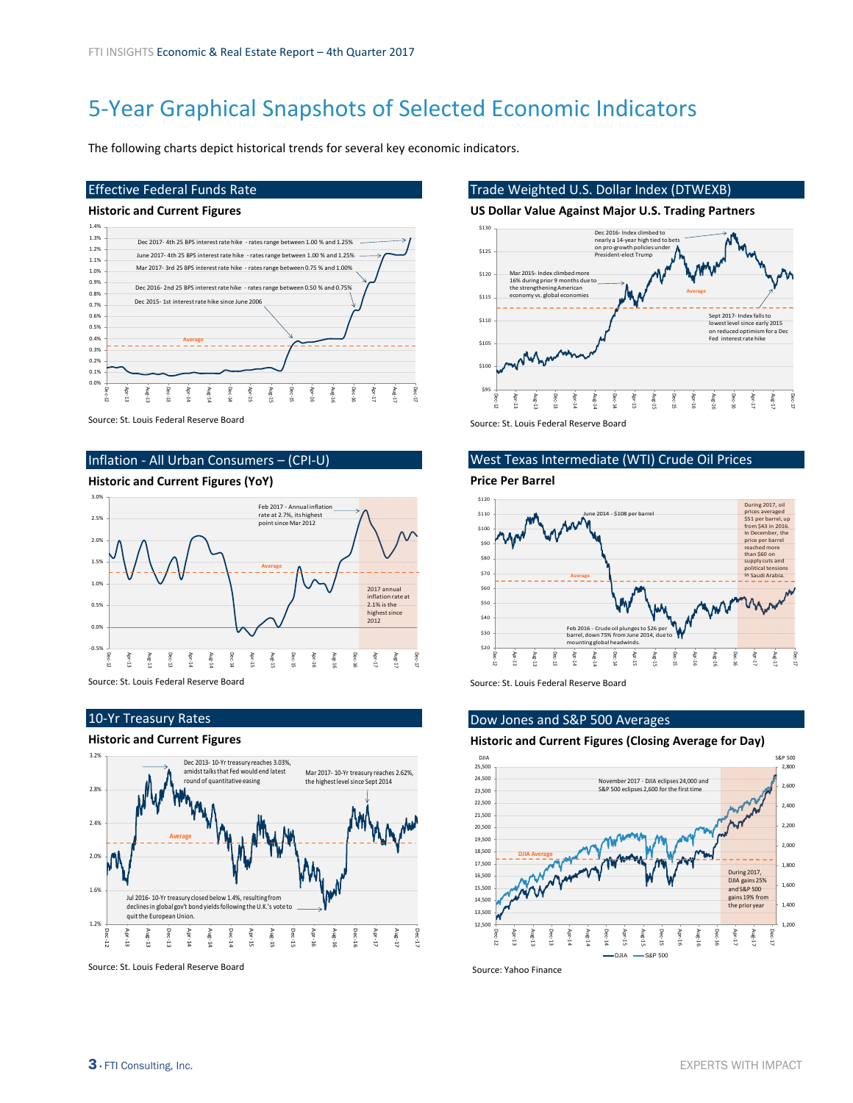# <span id="page-2-0"></span>5‐Year Graphical Snapshots of Selected Economic Indicators

The following charts depict historical trends for several key economic indicators.

### Effective Federal Funds Rate

#### **Historic and Current Figures**



Source: St. Louis Federal Reserve Board

## Inflation ‐ All Urban Consumers – (CPI‐U)

### **Historic and Current Figures (YoY)**



Source: St. Louis Federal Reserve Board

### 10‐Yr Treasury Rates

### **Historic and Current Figures**



Source: St. Louis Federal Reserve Board

### Trade Weighted U.S. Dollar Index (DTWEXB)

### **US Dollar Value Against Major U.S. Trading Partners**



Source: St. Louis Federal Reserve Board

### West Texas Intermediate (WTI) Crude Oil Prices

**Price Per Barrel**



Source: St. Louis Federal Reserve Board

### Dow Jones and S&P 500 Averages

#### **Historic and Current Figures (Closing Average for Day)**



Source: Yahoo Finance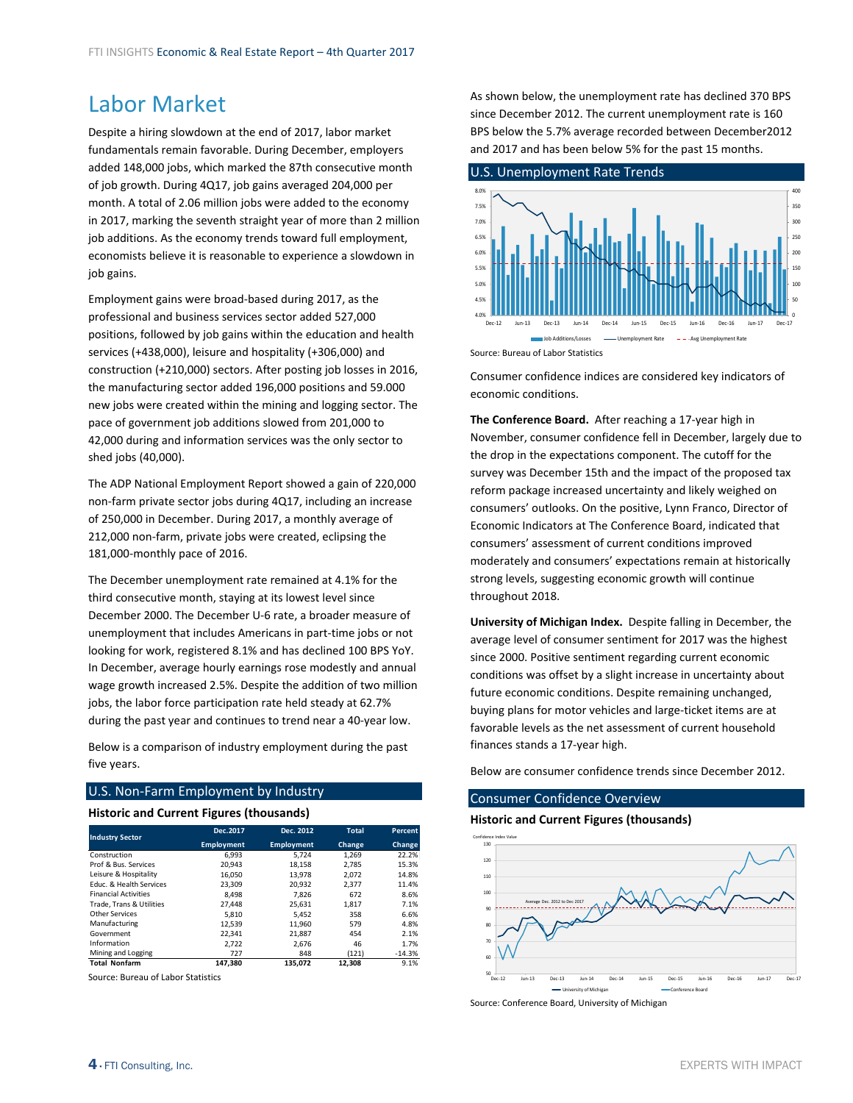# <span id="page-3-0"></span>Labor Market

Despite a hiring slowdown at the end of 2017, labor market fundamentals remain favorable. During December, employers added 148,000 jobs, which marked the 87th consecutive month of job growth. During 4Q17, job gains averaged 204,000 per month. A total of 2.06 million jobs were added to the economy in 2017, marking the seventh straight year of more than 2 million job additions. As the economy trends toward full employment, economists believe it is reasonable to experience a slowdown in job gains.

Employment gains were broad‐based during 2017, as the professional and business services sector added 527,000 positions, followed by job gains within the education and health services (+438,000), leisure and hospitality (+306,000) and construction (+210,000) sectors. After posting job losses in 2016, the manufacturing sector added 196,000 positions and 59.000 new jobs were created within the mining and logging sector. The pace of government job additions slowed from 201,000 to 42,000 during and information services was the only sector to shed jobs (40,000).

The ADP National Employment Report showed a gain of 220,000 non‐farm private sector jobs during 4Q17, including an increase of 250,000 in December. During 2017, a monthly average of 212,000 non‐farm, private jobs were created, eclipsing the 181,000‐monthly pace of 2016.

The December unemployment rate remained at 4.1% for the third consecutive month, staying at its lowest level since December 2000. The December U‐6 rate, a broader measure of unemployment that includes Americans in part‐time jobs or not looking for work, registered 8.1% and has declined 100 BPS YoY. In December, average hourly earnings rose modestly and annual wage growth increased 2.5%. Despite the addition of two million jobs, the labor force participation rate held steady at 62.7% during the past year and continues to trend near a 40‐year low.

Below is a comparison of industry employment during the past five years.

#### U.S. Non‐Farm Employment by Industry

### **Historic and Current Figures (thousands)**

| <b>Industry Sector</b>             | Dec.2017          | Dec. 2012         | <b>Total</b> | Percent  |
|------------------------------------|-------------------|-------------------|--------------|----------|
|                                    | <b>Employment</b> | <b>Employment</b> | Change       | Change   |
| Construction                       | 6.993             | 5.724             | 1.269        | 22.2%    |
| Prof & Bus. Services               | 20,943            | 18,158            | 2,785        | 15.3%    |
| Leisure & Hospitality              | 16,050            | 13,978            | 2,072        | 14.8%    |
| <b>Educ. &amp; Health Services</b> | 23.309            | 20.932            | 2.377        | 11.4%    |
| <b>Financial Activities</b>        | 8.498             | 7.826             | 672          | 8.6%     |
| Trade. Trans & Utilities           | 27.448            | 25.631            | 1,817        | 7.1%     |
| Other Services                     | 5.810             | 5.452             | 358          | 6.6%     |
| Manufacturing                      | 12,539            | 11,960            | 579          | 4.8%     |
| Government                         | 22.341            | 21.887            | 454          | 2.1%     |
| Information                        | 2.722             | 2.676             | 46           | 1.7%     |
| Mining and Logging                 | 727               | 848               | (121)        | $-14.3%$ |
| <b>Total Nonfarm</b>               | 147.380           | 135.072           | 12.308       | 9.1%     |

Source: Bureau of Labor Statistics

As shown below, the unemployment rate has declined 370 BPS since December 2012. The current unemployment rate is 160 BPS below the 5.7% average recorded between December2012 and 2017 and has been below 5% for the past 15 months.



Consumer confidence indices are considered key indicators of economic conditions.

**The Conference Board.** After reaching a 17‐year high in November, consumer confidence fell in December, largely due to the drop in the expectations component. The cutoff for the survey was December 15th and the impact of the proposed tax reform package increased uncertainty and likely weighed on consumers' outlooks. On the positive, Lynn Franco, Director of Economic Indicators at The Conference Board, indicated that consumers' assessment of current conditions improved moderately and consumers' expectations remain at historically strong levels, suggesting economic growth will continue throughout 2018.

**University of Michigan Index.** Despite falling in December, the average level of consumer sentiment for 2017 was the highest since 2000. Positive sentiment regarding current economic conditions was offset by a slight increase in uncertainty about future economic conditions. Despite remaining unchanged, buying plans for motor vehicles and large‐ticket items are at favorable levels as the net assessment of current household finances stands a 17‐year high.

Below are consumer confidence trends since December 2012.

### Consumer Confidence Overview

**Historic and Current Figures (thousands)**



Source: Conference Board, University of Michigan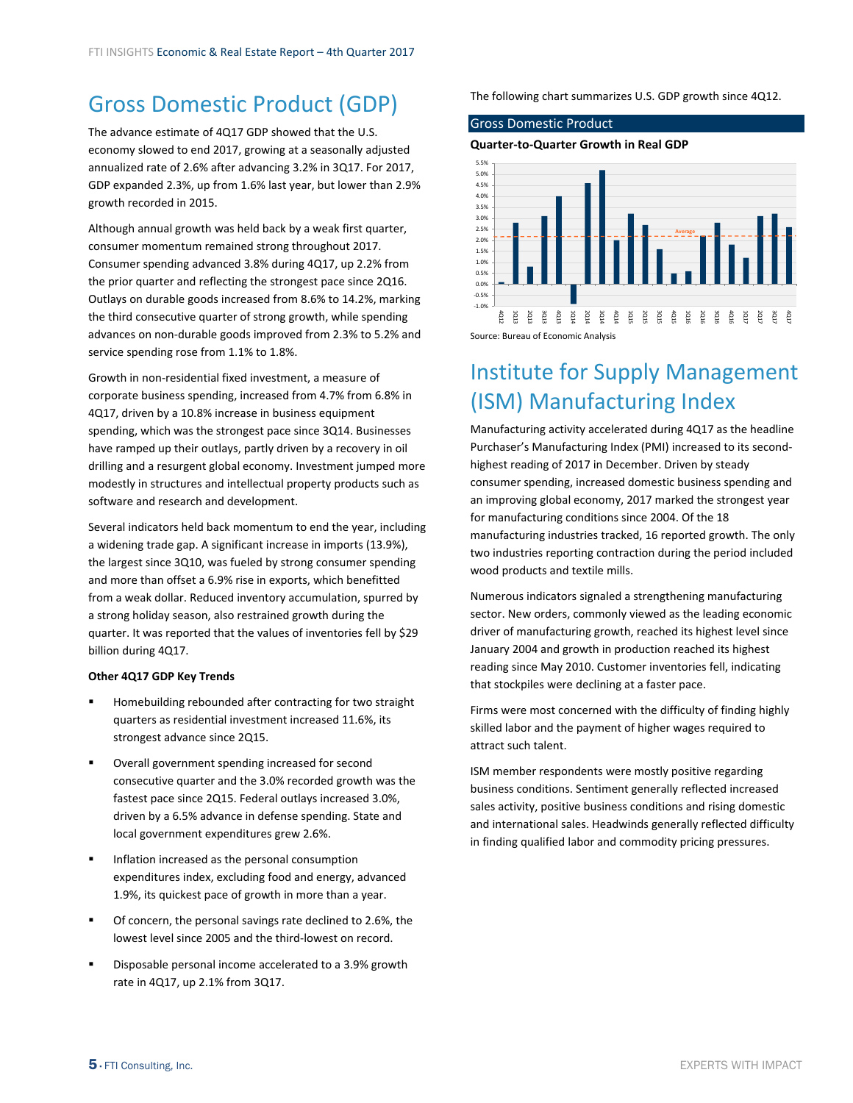# <span id="page-4-0"></span>Gross Domestic Product (GDP)

The advance estimate of 4Q17 GDP showed that the U.S. economy slowed to end 2017, growing at a seasonally adjusted annualized rate of 2.6% after advancing 3.2% in 3Q17. For 2017, GDP expanded 2.3%, up from 1.6% last year, but lower than 2.9% growth recorded in 2015.

Although annual growth was held back by a weak first quarter, consumer momentum remained strong throughout 2017. Consumer spending advanced 3.8% during 4Q17, up 2.2% from the prior quarter and reflecting the strongest pace since 2Q16. Outlays on durable goods increased from 8.6% to 14.2%, marking the third consecutive quarter of strong growth, while spending advances on non‐durable goods improved from 2.3% to 5.2% and service spending rose from 1.1% to 1.8%.

Growth in non‐residential fixed investment, a measure of corporate business spending, increased from 4.7% from 6.8% in 4Q17, driven by a 10.8% increase in business equipment spending, which was the strongest pace since 3Q14. Businesses have ramped up their outlays, partly driven by a recovery in oil drilling and a resurgent global economy. Investment jumped more modestly in structures and intellectual property products such as software and research and development.

Several indicators held back momentum to end the year, including a widening trade gap. A significant increase in imports (13.9%), the largest since 3Q10, was fueled by strong consumer spending and more than offset a 6.9% rise in exports, which benefitted from a weak dollar. Reduced inventory accumulation, spurred by a strong holiday season, also restrained growth during the quarter. It was reported that the values of inventories fell by \$29 billion during 4Q17.

#### **Other 4Q17 GDP Key Trends**

- Homebuilding rebounded after contracting for two straight quarters as residential investment increased 11.6%, its strongest advance since 2Q15.
- Overall government spending increased for second consecutive quarter and the 3.0% recorded growth was the fastest pace since 2Q15. Federal outlays increased 3.0%, driven by a 6.5% advance in defense spending. State and local government expenditures grew 2.6%.
- Inflation increased as the personal consumption expenditures index, excluding food and energy, advanced 1.9%, its quickest pace of growth in more than a year.
- Of concern, the personal savings rate declined to 2.6%, the lowest level since 2005 and the third‐lowest on record.
- Disposable personal income accelerated to a 3.9% growth rate in 4Q17, up 2.1% from 3Q17.

The following chart summarizes U.S. GDP growth since 4Q12.

### Gross Domestic Product

**Quarter‐to‐Quarter Growth in Real GDP**



# Institute for Supply Management (ISM) Manufacturing Index

Manufacturing activity accelerated during 4Q17 as the headline Purchaser's Manufacturing Index (PMI) increased to its second‐ highest reading of 2017 in December. Driven by steady consumer spending, increased domestic business spending and an improving global economy, 2017 marked the strongest year for manufacturing conditions since 2004. Of the 18 manufacturing industries tracked, 16 reported growth. The only two industries reporting contraction during the period included wood products and textile mills.

Numerous indicators signaled a strengthening manufacturing sector. New orders, commonly viewed as the leading economic driver of manufacturing growth, reached its highest level since January 2004 and growth in production reached its highest reading since May 2010. Customer inventories fell, indicating that stockpiles were declining at a faster pace.

Firms were most concerned with the difficulty of finding highly skilled labor and the payment of higher wages required to attract such talent.

ISM member respondents were mostly positive regarding business conditions. Sentiment generally reflected increased sales activity, positive business conditions and rising domestic and international sales. Headwinds generally reflected difficulty in finding qualified labor and commodity pricing pressures.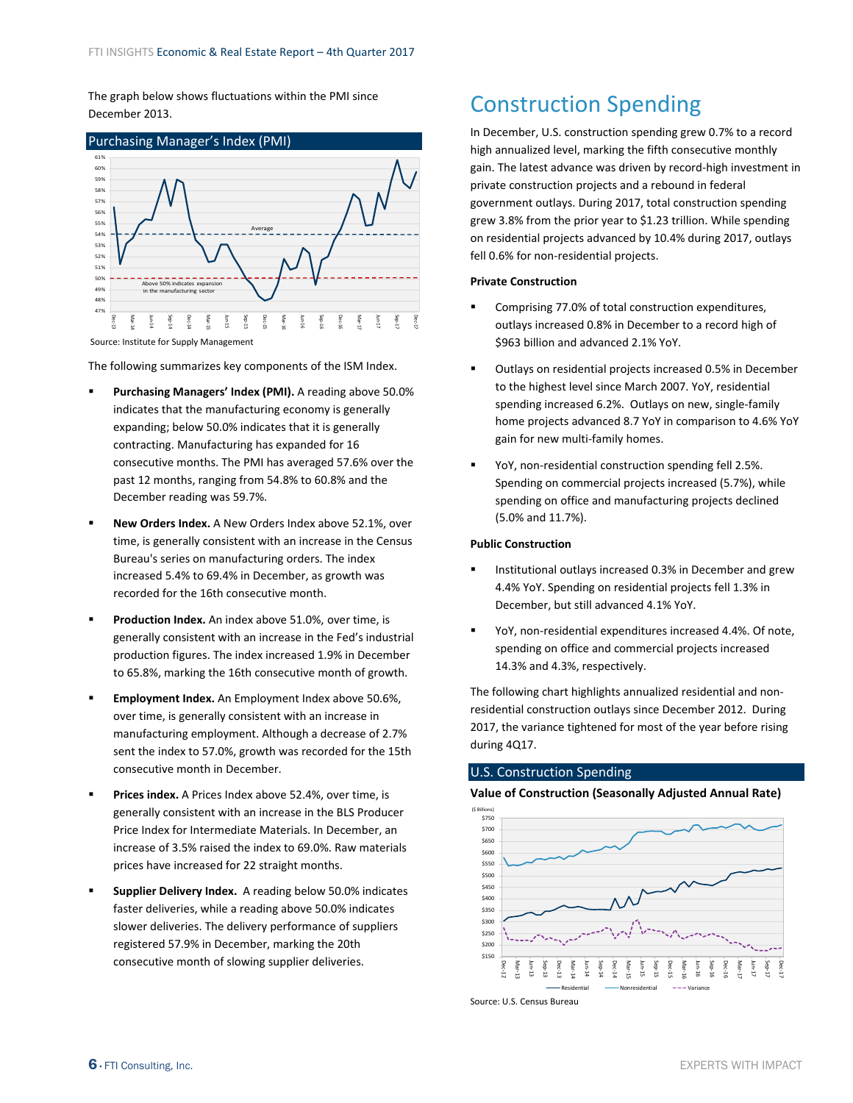<span id="page-5-0"></span>The graph below shows fluctuations within the PMI since December 2013.



The following summarizes key components of the ISM Index.

- **Purchasing Managers' Index (PMI).** A reading above 50.0% indicates that the manufacturing economy is generally expanding; below 50.0% indicates that it is generally contracting. Manufacturing has expanded for 16 consecutive months. The PMI has averaged 57.6% over the past 12 months, ranging from 54.8% to 60.8% and the December reading was 59.7%.
- **New Orders Index.** A New Orders Index above 52.1%, over time, is generally consistent with an increase in the Census Bureau's series on manufacturing orders. The index increased 5.4% to 69.4% in December, as growth was recorded for the 16th consecutive month.
- **Production Index.** An index above 51.0%, over time, is generally consistent with an increase in the Fed's industrial production figures. The index increased 1.9% in December to 65.8%, marking the 16th consecutive month of growth.
- **Employment Index.** An Employment Index above 50.6%, over time, is generally consistent with an increase in manufacturing employment. Although a decrease of 2.7% sent the index to 57.0%, growth was recorded for the 15th consecutive month in December.
- **Prices index.** A Prices Index above 52.4%, over time, is generally consistent with an increase in the BLS Producer Price Index for Intermediate Materials. In December, an increase of 3.5% raised the index to 69.0%. Raw materials prices have increased for 22 straight months.
- **Supplier Delivery Index.** A reading below 50.0% indicates faster deliveries, while a reading above 50.0% indicates slower deliveries. The delivery performance of suppliers registered 57.9% in December, marking the 20th consecutive month of slowing supplier deliveries.

# Construction Spending

In December, U.S. construction spending grew 0.7% to a record high annualized level, marking the fifth consecutive monthly gain. The latest advance was driven by record‐high investment in private construction projects and a rebound in federal government outlays. During 2017, total construction spending grew 3.8% from the prior year to \$1.23 trillion. While spending on residential projects advanced by 10.4% during 2017, outlays fell 0.6% for non‐residential projects.

#### **Private Construction**

- Comprising 77.0% of total construction expenditures, outlays increased 0.8% in December to a record high of \$963 billion and advanced 2.1% YoY.
- Outlays on residential projects increased 0.5% in December to the highest level since March 2007. YoY, residential spending increased 6.2%. Outlays on new, single-family home projects advanced 8.7 YoY in comparison to 4.6% YoY gain for new multi‐family homes.
- YoY, non-residential construction spending fell 2.5%. Spending on commercial projects increased (5.7%), while spending on office and manufacturing projects declined (5.0% and 11.7%).

### **Public Construction**

- Institutional outlays increased 0.3% in December and grew 4.4% YoY. Spending on residential projects fell 1.3% in December, but still advanced 4.1% YoY.
- YoY, non-residential expenditures increased 4.4%. Of note, spending on office and commercial projects increased 14.3% and 4.3%, respectively.

The following chart highlights annualized residential and non‐ residential construction outlays since December 2012. During 2017, the variance tightened for most of the year before rising during 4Q17.

### U.S. Construction Spending

**Value of Construction (Seasonally Adjusted Annual Rate)**



Source: U.S. Census Bureau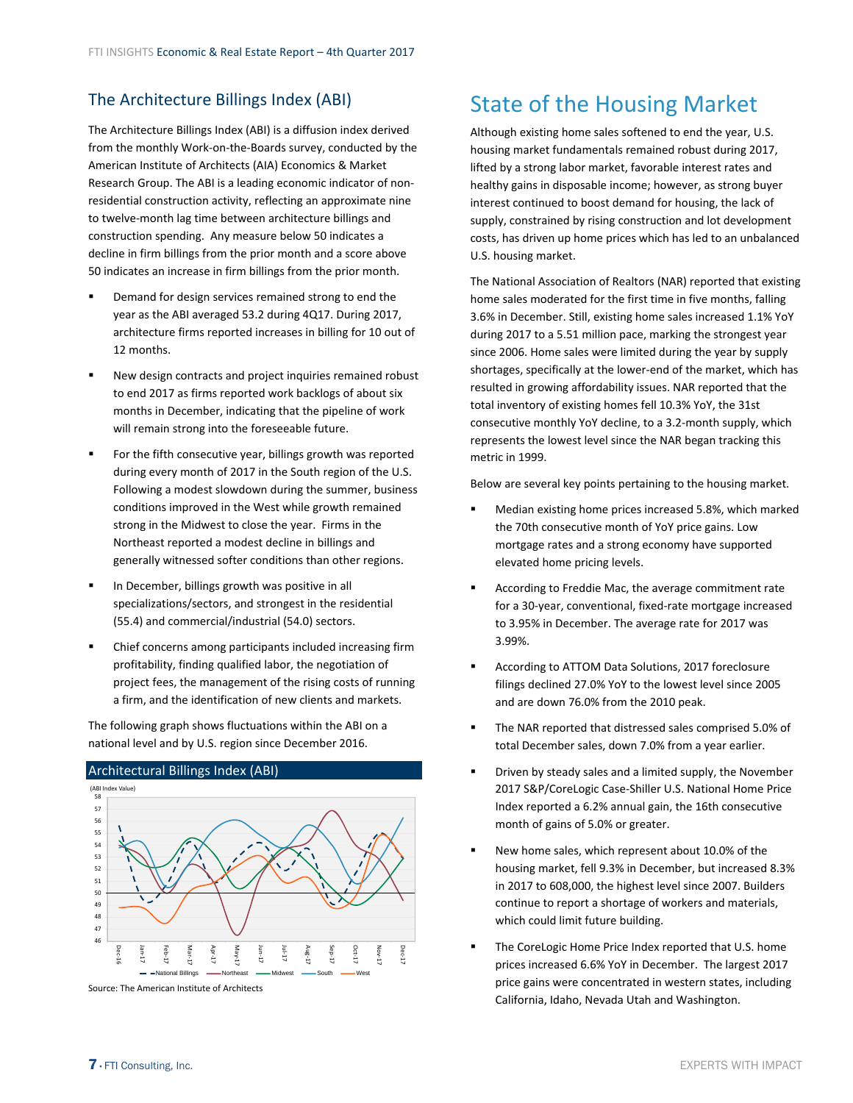# <span id="page-6-0"></span>The Architecture Billings Index (ABI)

The Architecture Billings Index (ABI) is a diffusion index derived from the monthly Work‐on‐the‐Boards survey, conducted by the American Institute of Architects (AIA) Economics & Market Research Group. The ABI is a leading economic indicator of non‐ residential construction activity, reflecting an approximate nine to twelve‐month lag time between architecture billings and construction spending. Any measure below 50 indicates a decline in firm billings from the prior month and a score above 50 indicates an increase in firm billings from the prior month.

- Demand for design services remained strong to end the year as the ABI averaged 53.2 during 4Q17. During 2017, architecture firms reported increases in billing for 10 out of 12 months.
- New design contracts and project inquiries remained robust to end 2017 as firms reported work backlogs of about six months in December, indicating that the pipeline of work will remain strong into the foreseeable future.
- For the fifth consecutive year, billings growth was reported during every month of 2017 in the South region of the U.S. Following a modest slowdown during the summer, business conditions improved in the West while growth remained strong in the Midwest to close the year. Firms in the Northeast reported a modest decline in billings and generally witnessed softer conditions than other regions.
- **In December, billings growth was positive in all** specializations/sectors, and strongest in the residential (55.4) and commercial/industrial (54.0) sectors.
- Chief concerns among participants included increasing firm profitability, finding qualified labor, the negotiation of project fees, the management of the rising costs of running a firm, and the identification of new clients and markets.

The following graph shows fluctuations within the ABI on a national level and by U.S. region since December 2016.

#### 46 47 48 49 50 51 52 53 54 55 56 57 58 Dec‐16 ام<br>ا 5 Feb‐17 ا<br>Mar 5 Apr5 May5 5 5 Jul‐17 Aug5 Sep5 o<br>F 5 Nov5 Dec‐17 (ABI Index Value) National Billings - Northeast - Midwest - South - West

### Architectural Billings Index (ABI)

Source: The American Institute of Architects

# State of the Housing Market

Although existing home sales softened to end the year, U.S. housing market fundamentals remained robust during 2017, lifted by a strong labor market, favorable interest rates and healthy gains in disposable income; however, as strong buyer interest continued to boost demand for housing, the lack of supply, constrained by rising construction and lot development costs, has driven up home prices which has led to an unbalanced U.S. housing market.

The National Association of Realtors (NAR) reported that existing home sales moderated for the first time in five months, falling 3.6% in December. Still, existing home sales increased 1.1% YoY during 2017 to a 5.51 million pace, marking the strongest year since 2006. Home sales were limited during the year by supply shortages, specifically at the lower-end of the market, which has resulted in growing affordability issues. NAR reported that the total inventory of existing homes fell 10.3% YoY, the 31st consecutive monthly YoY decline, to a 3.2‐month supply, which represents the lowest level since the NAR began tracking this metric in 1999.

Below are several key points pertaining to the housing market.

- Median existing home prices increased 5.8%, which marked the 70th consecutive month of YoY price gains. Low mortgage rates and a strong economy have supported elevated home pricing levels.
- According to Freddie Mac, the average commitment rate for a 30‐year, conventional, fixed‐rate mortgage increased to 3.95% in December. The average rate for 2017 was 3.99%.
- According to ATTOM Data Solutions, 2017 foreclosure filings declined 27.0% YoY to the lowest level since 2005 and are down 76.0% from the 2010 peak.
- The NAR reported that distressed sales comprised 5.0% of total December sales, down 7.0% from a year earlier.
- **Part Chriven by steady sales and a limited supply, the November** 2017 S&P/CoreLogic Case‐Shiller U.S. National Home Price Index reported a 6.2% annual gain, the 16th consecutive month of gains of 5.0% or greater.
- New home sales, which represent about 10.0% of the housing market, fell 9.3% in December, but increased 8.3% in 2017 to 608,000, the highest level since 2007. Builders continue to report a shortage of workers and materials, which could limit future building.
- The CoreLogic Home Price Index reported that U.S. home prices increased 6.6% YoY in December. The largest 2017 price gains were concentrated in western states, including California, Idaho, Nevada Utah and Washington.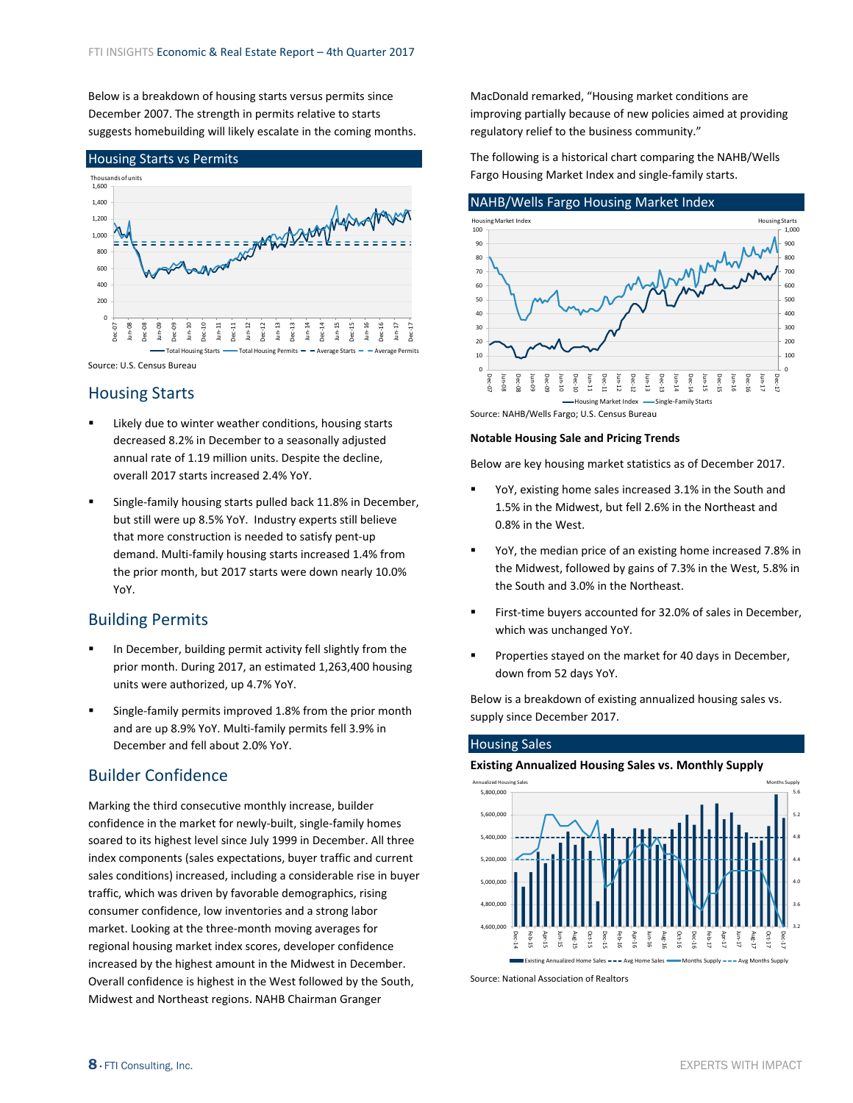Below is a breakdown of housing starts versus permits since December 2007. The strength in permits relative to starts suggests homebuilding will likely escalate in the coming months.



Source: U.S. Census Bureau

### Housing Starts

- Likely due to winter weather conditions, housing starts decreased 8.2% in December to a seasonally adjusted annual rate of 1.19 million units. Despite the decline, overall 2017 starts increased 2.4% YoY.
- Single‐family housing starts pulled back 11.8% in December, but still were up 8.5% YoY. Industry experts still believe that more construction is needed to satisfy pent‐up demand. Multi‐family housing starts increased 1.4% from the prior month, but 2017 starts were down nearly 10.0% YoY.

## Building Permits

- In December, building permit activity fell slightly from the prior month. During 2017, an estimated 1,263,400 housing units were authorized, up 4.7% YoY.
- Single‐family permits improved 1.8% from the prior month and are up 8.9% YoY. Multi‐family permits fell 3.9% in December and fell about 2.0% YoY.

## Builder Confidence

Marking the third consecutive monthly increase, builder confidence in the market for newly‐built, single‐family homes soared to its highest level since July 1999 in December. All three index components (sales expectations, buyer traffic and current sales conditions) increased, including a considerable rise in buyer traffic, which was driven by favorable demographics, rising consumer confidence, low inventories and a strong labor market. Looking at the three‐month moving averages for regional housing market index scores, developer confidence increased by the highest amount in the Midwest in December. Overall confidence is highest in the West followed by the South, Midwest and Northeast regions. NAHB Chairman Granger

MacDonald remarked, "Housing market conditions are improving partially because of new policies aimed at providing regulatory relief to the business community."

The following is a historical chart comparing the NAHB/Wells Fargo Housing Market Index and single‐family starts.



Source: NAHB/Wells Fargo; U.S. Census Bureau

#### **Notable Housing Sale and Pricing Trends**

Below are key housing market statistics as of December 2017.

- YoY, existing home sales increased 3.1% in the South and 1.5% in the Midwest, but fell 2.6% in the Northeast and 0.8% in the West.
- YoY, the median price of an existing home increased 7.8% in the Midwest, followed by gains of 7.3% in the West, 5.8% in the South and 3.0% in the Northeast.
- First-time buyers accounted for 32.0% of sales in December, which was unchanged YoY.
- **Properties stayed on the market for 40 days in December,** down from 52 days YoY.

Below is a breakdown of existing annualized housing sales vs. supply since December 2017.

#### Housing Sales **Existing Annualized Housing Sales vs. Monthly Supply** 3.2 3.6 4.0 4.4 4.8 5.2 5.6 4,600,000 4,800,000 5,000,000 5,200,000 5,400,000 5,600,000 5,800,000 Dec15 FebApr15 Jun15 Aug‐15 Oct‐15 DecFeb16 Apr16 Jun16 Aug‐16 Oct16 Dec‐16 Feb17 Apr17 i<br>S AugOctDec17 Annualized Housing Sales **Months Supply** and the second second second second second second second second second supply Existing Annualized Home Sales  $---$  Avg Home Sales  $---$  Months Supply  $---$  Avg Months Supply

Source: National Association of Realtors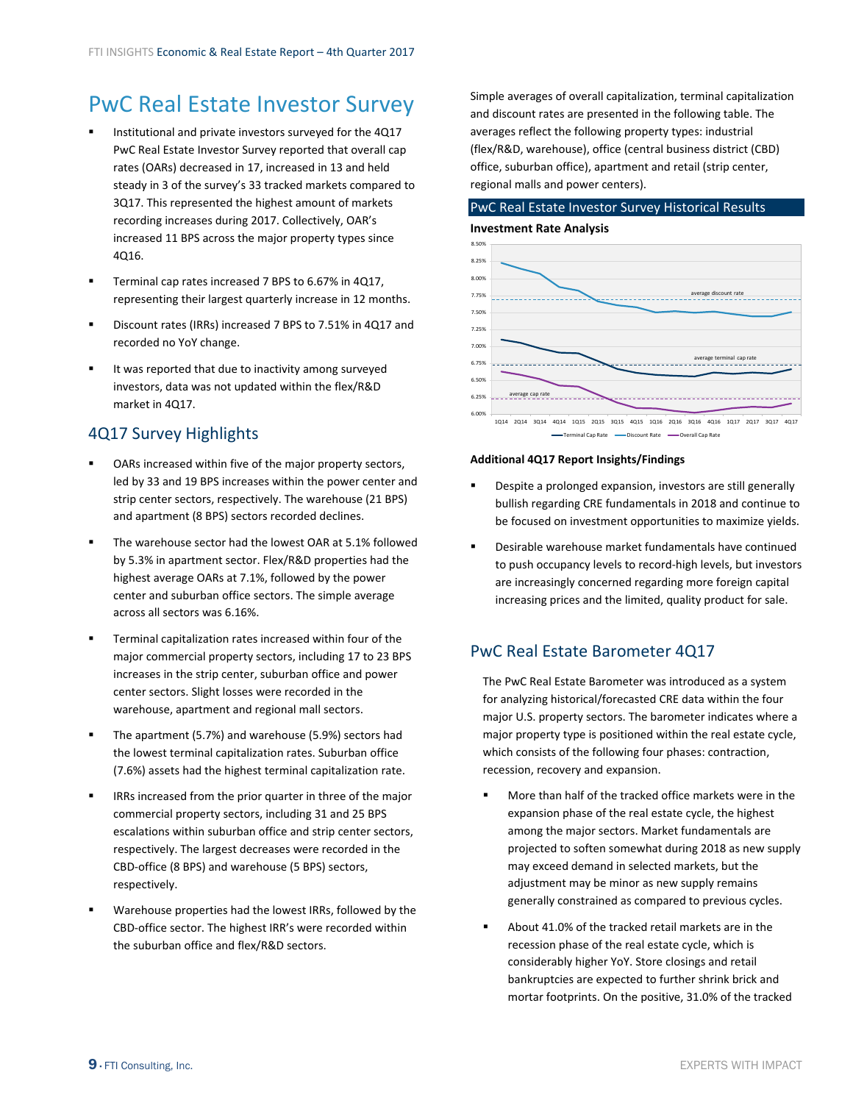# <span id="page-8-0"></span>PwC Real Estate Investor Survey

- Institutional and private investors surveyed for the 4Q17 PwC Real Estate Investor Survey reported that overall cap rates (OARs) decreased in 17, increased in 13 and held steady in 3 of the survey's 33 tracked markets compared to 3Q17. This represented the highest amount of markets recording increases during 2017. Collectively, OAR's increased 11 BPS across the major property types since 4Q16.
- Terminal cap rates increased 7 BPS to 6.67% in 4Q17, representing their largest quarterly increase in 12 months.
- Discount rates (IRRs) increased 7 BPS to 7.51% in 4Q17 and recorded no YoY change.
- It was reported that due to inactivity among surveyed investors, data was not updated within the flex/R&D market in 4Q17.

# 4Q17 Survey Highlights

- OARs increased within five of the major property sectors, led by 33 and 19 BPS increases within the power center and strip center sectors, respectively. The warehouse (21 BPS) and apartment (8 BPS) sectors recorded declines.
- The warehouse sector had the lowest OAR at 5.1% followed by 5.3% in apartment sector. Flex/R&D properties had the highest average OARs at 7.1%, followed by the power center and suburban office sectors. The simple average across all sectors was 6.16%.
- Terminal capitalization rates increased within four of the major commercial property sectors, including 17 to 23 BPS increases in the strip center, suburban office and power center sectors. Slight losses were recorded in the warehouse, apartment and regional mall sectors.
- The apartment (5.7%) and warehouse (5.9%) sectors had the lowest terminal capitalization rates. Suburban office (7.6%) assets had the highest terminal capitalization rate.
- IRRs increased from the prior quarter in three of the major commercial property sectors, including 31 and 25 BPS escalations within suburban office and strip center sectors, respectively. The largest decreases were recorded in the CBD‐office (8 BPS) and warehouse (5 BPS) sectors, respectively.
- Warehouse properties had the lowest IRRs, followed by the CBD‐office sector. The highest IRR's were recorded within the suburban office and flex/R&D sectors.

Simple averages of overall capitalization, terminal capitalization and discount rates are presented in the following table. The averages reflect the following property types: industrial (flex/R&D, warehouse), office (central business district (CBD) office, suburban office), apartment and retail (strip center, regional malls and power centers).

# PwC Real Estate Investor Survey Historical Results

### **Investment Rate Analysis**



#### **Additional 4Q17 Report Insights/Findings**

- Despite a prolonged expansion, investors are still generally bullish regarding CRE fundamentals in 2018 and continue to be focused on investment opportunities to maximize yields.
- Desirable warehouse market fundamentals have continued to push occupancy levels to record‐high levels, but investors are increasingly concerned regarding more foreign capital increasing prices and the limited, quality product for sale.

## PwC Real Estate Barometer 4Q17

The PwC Real Estate Barometer was introduced as a system for analyzing historical/forecasted CRE data within the four major U.S. property sectors. The barometer indicates where a major property type is positioned within the real estate cycle, which consists of the following four phases: contraction, recession, recovery and expansion.

- More than half of the tracked office markets were in the expansion phase of the real estate cycle, the highest among the major sectors. Market fundamentals are projected to soften somewhat during 2018 as new supply may exceed demand in selected markets, but the adjustment may be minor as new supply remains generally constrained as compared to previous cycles.
- About 41.0% of the tracked retail markets are in the recession phase of the real estate cycle, which is considerably higher YoY. Store closings and retail bankruptcies are expected to further shrink brick and mortar footprints. On the positive, 31.0% of the tracked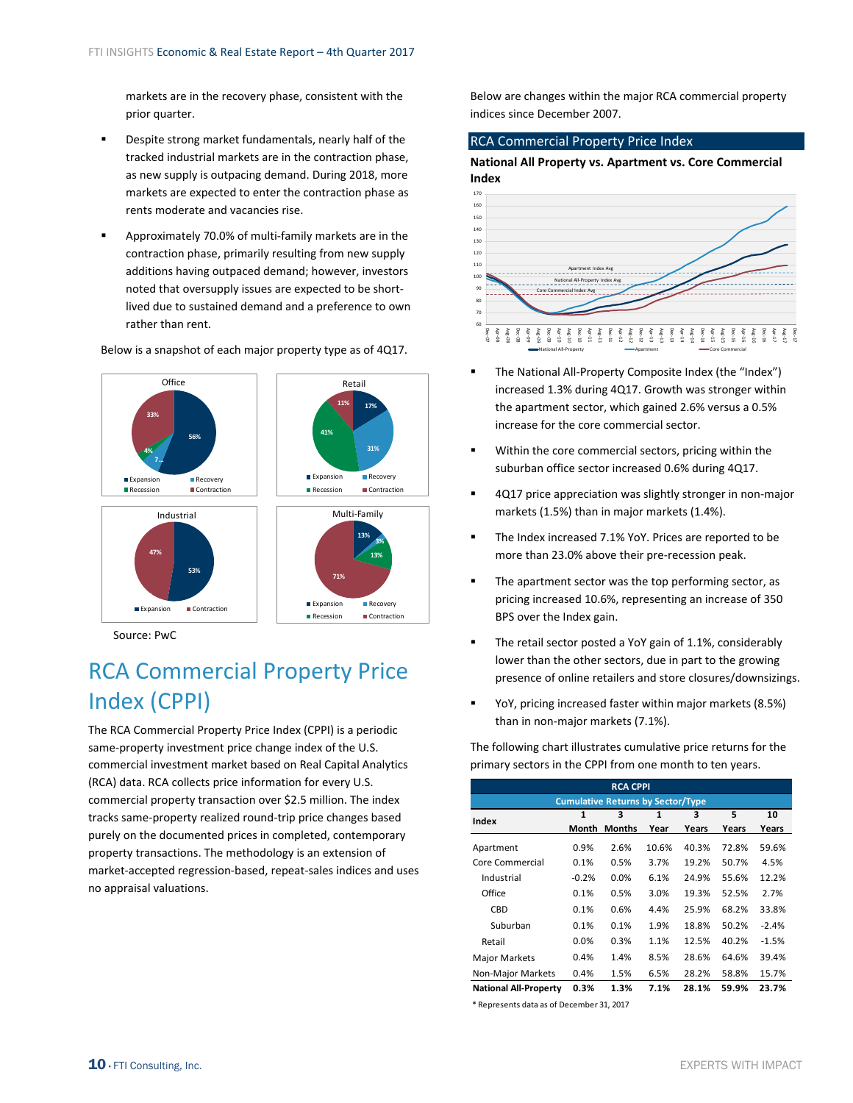<span id="page-9-0"></span>markets are in the recovery phase, consistent with the prior quarter.

- Despite strong market fundamentals, nearly half of the tracked industrial markets are in the contraction phase, as new supply is outpacing demand. During 2018, more markets are expected to enter the contraction phase as rents moderate and vacancies rise.
- Approximately 70.0% of multi‐family markets are in the contraction phase, primarily resulting from new supply additions having outpaced demand; however, investors noted that oversupply issues are expected to be short‐ lived due to sustained demand and a preference to own rather than rent.

**56% 7… 4% 33%** Office Expansion Recovery<br>Recession Contracti M<br>■ Contraction **53% 2% 47%** Industrial Expansion Contraction **13% 3% 13% 71%** Multi‐Family **Expansion** Recovery Recession Contraction **17% 31% 41% 11%** Expansion Recovery Recession **Contraction** Retail

Below is a snapshot of each major property type as of 4Q17.

Source: PwC

# RCA Commercial Property Price Index (CPPI)

The RCA Commercial Property Price Index (CPPI) is a periodic same-property investment price change index of the U.S. commercial investment market based on Real Capital Analytics (RCA) data. RCA collects price information for every U.S. commercial property transaction over \$2.5 million. The index tracks same‐property realized round‐trip price changes based purely on the documented prices in completed, contemporary property transactions. The methodology is an extension of market‐accepted regression‐based, repeat‐sales indices and uses no appraisal valuations.

Below are changes within the major RCA commercial property indices since December 2007.

### RCA Commercial Property Price Index

### **National All Property vs. Apartment vs. Core Commercial Index**



- The National All‐Property Composite Index (the "Index") increased 1.3% during 4Q17. Growth was stronger within the apartment sector, which gained 2.6% versus a 0.5% increase for the core commercial sector.
- Within the core commercial sectors, pricing within the suburban office sector increased 0.6% during 4Q17.
- 4Q17 price appreciation was slightly stronger in non-major markets (1.5%) than in major markets (1.4%).
- The Index increased 7.1% YoY. Prices are reported to be more than 23.0% above their pre‐recession peak.
- **The apartment sector was the top performing sector, as** pricing increased 10.6%, representing an increase of 350 BPS over the Index gain.
- The retail sector posted a YoY gain of 1.1%, considerably lower than the other sectors, due in part to the growing presence of online retailers and store closures/downsizings.
- YoY, pricing increased faster within major markets (8.5%) than in non‐major markets (7.1%).

The following chart illustrates cumulative price returns for the primary sectors in the CPPI from one month to ten years.

| <b>RCA CPPI</b>              |              |                                          |       |       |       |         |
|------------------------------|--------------|------------------------------------------|-------|-------|-------|---------|
|                              |              | <b>Cumulative Returns by Sector/Type</b> |       |       |       |         |
| Index                        | $\mathbf{1}$ | 3                                        | 1     | 3     | 5     | 10      |
|                              | Month        | <b>Months</b>                            | Year  | Years | Years | Years   |
| Apartment                    | 0.9%         | 2.6%                                     | 10.6% | 40.3% | 72.8% | 59.6%   |
| Core Commercial              | 0.1%         | 0.5%                                     | 3.7%  | 19.2% | 50.7% | 4.5%    |
| Industrial                   | $-0.2%$      | 0.0%                                     | 6.1%  | 24.9% | 55.6% | 12.2%   |
| Office                       | 0.1%         | 0.5%                                     | 3.0%  | 19.3% | 52.5% | 2.7%    |
| CBD                          | 0.1%         | 0.6%                                     | 4.4%  | 25.9% | 68.2% | 33.8%   |
| Suburban                     | 0.1%         | 0.1%                                     | 1.9%  | 18.8% | 50.2% | $-2.4%$ |
| Retail                       | 0.0%         | 0.3%                                     | 1.1%  | 12.5% | 40.2% | $-1.5%$ |
| <b>Major Markets</b>         | 0.4%         | 1.4%                                     | 8.5%  | 28.6% | 64.6% | 39.4%   |
| Non-Major Markets            | 0.4%         | 1.5%                                     | 6.5%  | 28.2% | 58.8% | 15.7%   |
| <b>National All-Property</b> | 0.3%         | 1.3%                                     | 7.1%  | 28.1% | 59.9% | 23.7%   |

\* Represents data as of December 31, 2017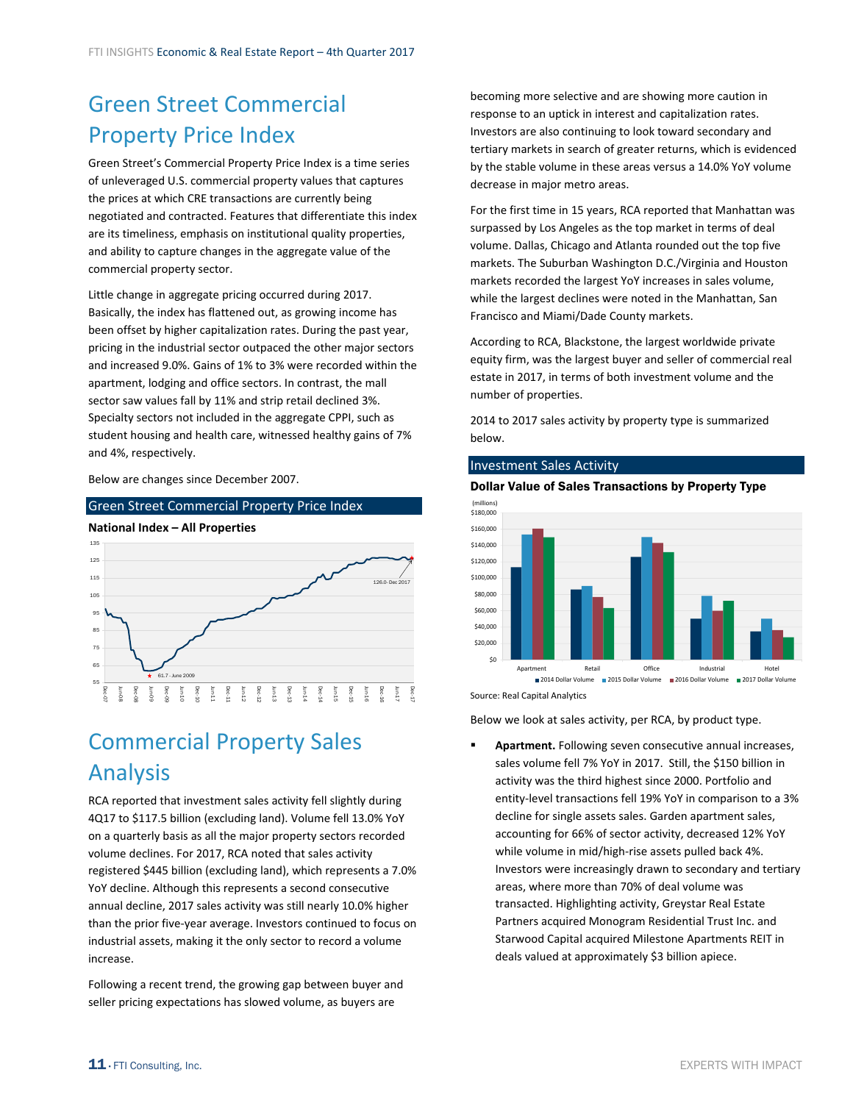# <span id="page-10-0"></span>Green Street Commercial Property Price Index

Green Street's Commercial Property Price Index is a time series of unleveraged U.S. commercial property values that captures the prices at which CRE transactions are currently being negotiated and contracted. Features that differentiate this index are its timeliness, emphasis on institutional quality properties, and ability to capture changes in the aggregate value of the commercial property sector.

Little change in aggregate pricing occurred during 2017. Basically, the index has flattened out, as growing income has been offset by higher capitalization rates. During the past year, pricing in the industrial sector outpaced the other major sectors and increased 9.0%. Gains of 1% to 3% were recorded within the apartment, lodging and office sectors. In contrast, the mall sector saw values fall by 11% and strip retail declined 3%. Specialty sectors not included in the aggregate CPPI, such as student housing and health care, witnessed healthy gains of 7% and 4%, respectively.

Below are changes since December 2007.





# Commercial Property Sales Analysis

RCA reported that investment sales activity fell slightly during 4Q17 to \$117.5 billion (excluding land). Volume fell 13.0% YoY on a quarterly basis as all the major property sectors recorded volume declines. For 2017, RCA noted that sales activity registered \$445 billion (excluding land), which represents a 7.0% YoY decline. Although this represents a second consecutive annual decline, 2017 sales activity was still nearly 10.0% higher than the prior five‐year average. Investors continued to focus on industrial assets, making it the only sector to record a volume increase.

Following a recent trend, the growing gap between buyer and seller pricing expectations has slowed volume, as buyers are

becoming more selective and are showing more caution in response to an uptick in interest and capitalization rates. Investors are also continuing to look toward secondary and tertiary markets in search of greater returns, which is evidenced by the stable volume in these areas versus a 14.0% YoY volume decrease in major metro areas.

For the first time in 15 years, RCA reported that Manhattan was surpassed by Los Angeles as the top market in terms of deal volume. Dallas, Chicago and Atlanta rounded out the top five markets. The Suburban Washington D.C./Virginia and Houston markets recorded the largest YoY increases in sales volume, while the largest declines were noted in the Manhattan, San Francisco and Miami/Dade County markets.

According to RCA, Blackstone, the largest worldwide private equity firm, was the largest buyer and seller of commercial real estate in 2017, in terms of both investment volume and the number of properties.

2014 to 2017 sales activity by property type is summarized below.

#### Investment Sales Activity





Source: Real Capital Analytics

Below we look at sales activity, per RCA, by product type.

 **Apartment.** Following seven consecutive annual increases, sales volume fell 7% YoY in 2017. Still, the \$150 billion in activity was the third highest since 2000. Portfolio and entity‐level transactions fell 19% YoY in comparison to a 3% decline for single assets sales. Garden apartment sales, accounting for 66% of sector activity, decreased 12% YoY while volume in mid/high‐rise assets pulled back 4%. Investors were increasingly drawn to secondary and tertiary areas, where more than 70% of deal volume was transacted. Highlighting activity, Greystar Real Estate Partners acquired Monogram Residential Trust Inc. and Starwood Capital acquired Milestone Apartments REIT in deals valued at approximately \$3 billion apiece.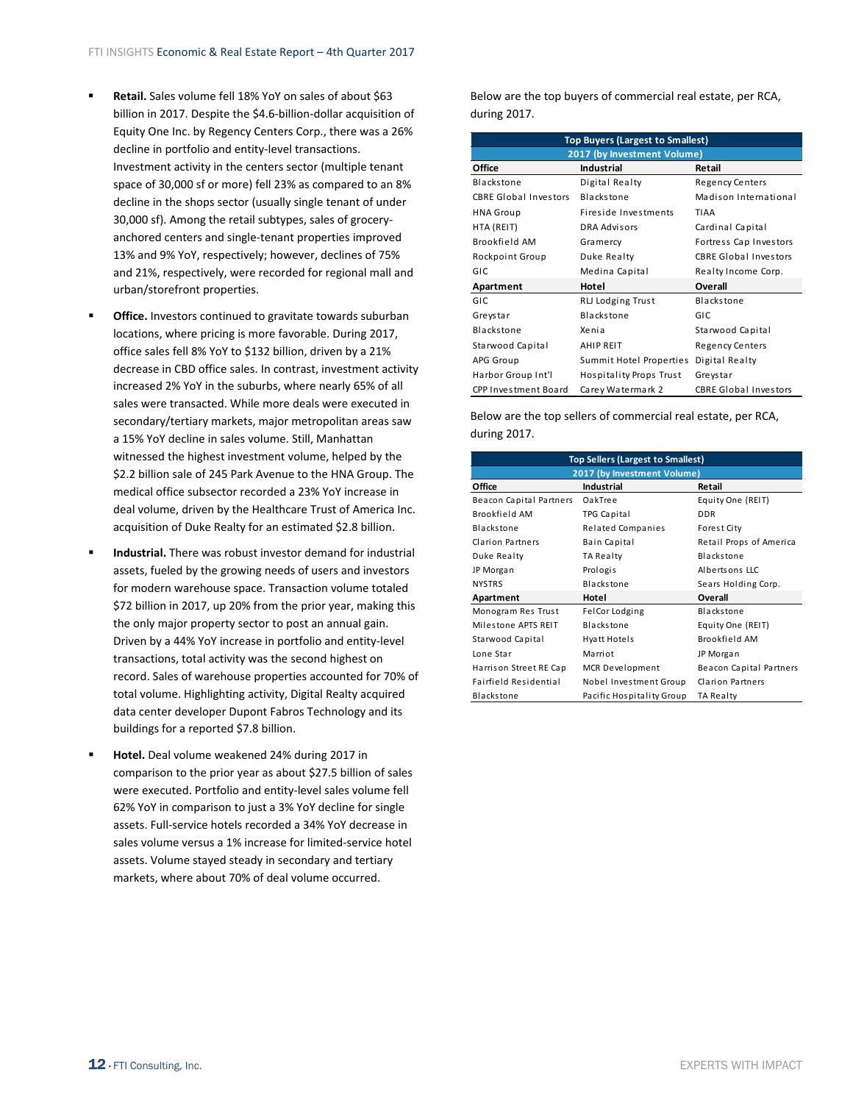- **Retail.** Sales volume fell 18% YoY on sales of about \$63 billion in 2017. Despite the \$4.6‐billion‐dollar acquisition of Equity One Inc. by Regency Centers Corp., there was a 26% decline in portfolio and entity‐level transactions. Investment activity in the centers sector (multiple tenant space of 30,000 sf or more) fell 23% as compared to an 8% decline in the shops sector (usually single tenant of under 30,000 sf). Among the retail subtypes, sales of grocery‐ anchored centers and single‐tenant properties improved 13% and 9% YoY, respectively; however, declines of 75% and 21%, respectively, were recorded for regional mall and urban/storefront properties.
- **Office.** Investors continued to gravitate towards suburban locations, where pricing is more favorable. During 2017, office sales fell 8% YoY to \$132 billion, driven by a 21% decrease in CBD office sales. In contrast, investment activity increased 2% YoY in the suburbs, where nearly 65% of all sales were transacted. While more deals were executed in secondary/tertiary markets, major metropolitan areas saw a 15% YoY decline in sales volume. Still, Manhattan witnessed the highest investment volume, helped by the \$2.2 billion sale of 245 Park Avenue to the HNA Group. The medical office subsector recorded a 23% YoY increase in deal volume, driven by the Healthcare Trust of America Inc. acquisition of Duke Realty for an estimated \$2.8 billion.
- **Industrial.** There was robust investor demand for industrial assets, fueled by the growing needs of users and investors for modern warehouse space. Transaction volume totaled \$72 billion in 2017, up 20% from the prior year, making this the only major property sector to post an annual gain. Driven by a 44% YoY increase in portfolio and entity‐level transactions, total activity was the second highest on record. Sales of warehouse properties accounted for 70% of total volume. Highlighting activity, Digital Realty acquired data center developer Dupont Fabros Technology and its buildings for a reported \$7.8 billion.
- **Hotel.** Deal volume weakened 24% during 2017 in comparison to the prior year as about \$27.5 billion of sales were executed. Portfolio and entity‐level sales volume fell 62% YoY in comparison to just a 3% YoY decline for single assets. Full‐service hotels recorded a 34% YoY decrease in sales volume versus a 1% increase for limited-service hotel assets. Volume stayed steady in secondary and tertiary markets, where about 70% of deal volume occurred.

Below are the top buyers of commercial real estate, per RCA, during 2017.

| <b>Top Buyers (Largest to Smallest)</b> |                                |                              |  |  |  |
|-----------------------------------------|--------------------------------|------------------------------|--|--|--|
| 2017 (by Investment Volume)             |                                |                              |  |  |  |
| Office                                  | <b>Industrial</b>              | Retail                       |  |  |  |
| Blackstone                              | Digital Realty                 | Regency Centers              |  |  |  |
| <b>CBRE Global Investors</b>            | Blackstone                     | Madison International        |  |  |  |
| <b>HNA Group</b>                        | Fireside Investments           | TIAA                         |  |  |  |
| HTA (REIT)                              | DRA Advisors                   | Cardinal Capital             |  |  |  |
| Brookfield AM                           | Gramercy                       | Fortress Cap Investors       |  |  |  |
| Rockpoint Group                         | Duke Realty                    | <b>CBRE Global Investors</b> |  |  |  |
| GIC                                     | Medina Capital                 | Realty Income Corp.          |  |  |  |
| Apartment                               | Hotel                          | Overall                      |  |  |  |
| GIC                                     | RLJ Lodging Trust              | Blackstone                   |  |  |  |
| Greystar                                | Blackstone                     | GIC                          |  |  |  |
| Blackstone                              | Xenia                          | Starwood Capital             |  |  |  |
| Starwood Capital                        | <b>AHIP REIT</b>               | Regency Centers              |  |  |  |
| APG Group                               | Summit Hotel Properties        | Digital Realty               |  |  |  |
| Harbor Group Int'l                      | <b>Hospitality Props Trust</b> | Greystar                     |  |  |  |
| CPP Investment Board                    | Carey Watermark 2              | <b>CBRE Global Investors</b> |  |  |  |

Below are the top sellers of commercial real estate, per RCA, during 2017.

| <b>Top Sellers (Largest to Smallest)</b> |                             |                         |  |  |  |
|------------------------------------------|-----------------------------|-------------------------|--|--|--|
|                                          | 2017 (by Investment Volume) |                         |  |  |  |
| Office                                   | Industrial                  | Retail                  |  |  |  |
| Beacon Capital Partners                  | OakTree                     | Equity One (REIT)       |  |  |  |
| Brookfield AM                            | TPG Capital                 | <b>DDR</b>              |  |  |  |
| Blackstone                               | <b>Related Companies</b>    | Forest City             |  |  |  |
| Clarion Partners                         | Bain Capital                | Retail Props of America |  |  |  |
| Duke Realty                              | TA Realty                   | Blackstone              |  |  |  |
| JP Morgan                                | Prologis                    | Albertsons LLC          |  |  |  |
| <b>NYSTRS</b>                            | Blackstone                  | Sears Holding Corp.     |  |  |  |
| Apartment                                | Hotel                       | Overall                 |  |  |  |
| Monogram Res Trust                       | FelCor Lodging              | Blackstone              |  |  |  |
| Milestone APTS REIT                      | Blackstone                  | Equity One (REIT)       |  |  |  |
| Starwood Capital                         | Hyatt Hotels                | Brookfield AM           |  |  |  |
| Lone Star                                | Marriot                     | JP Morgan               |  |  |  |
| Harrison Street RE Cap                   | MCR Development             | Beacon Capital Partners |  |  |  |
| Fairfield Residential                    | Nobel Investment Group      | <b>Clarion Partners</b> |  |  |  |
| Blackstone                               | Pacific Hospitality Group   | TA Realty               |  |  |  |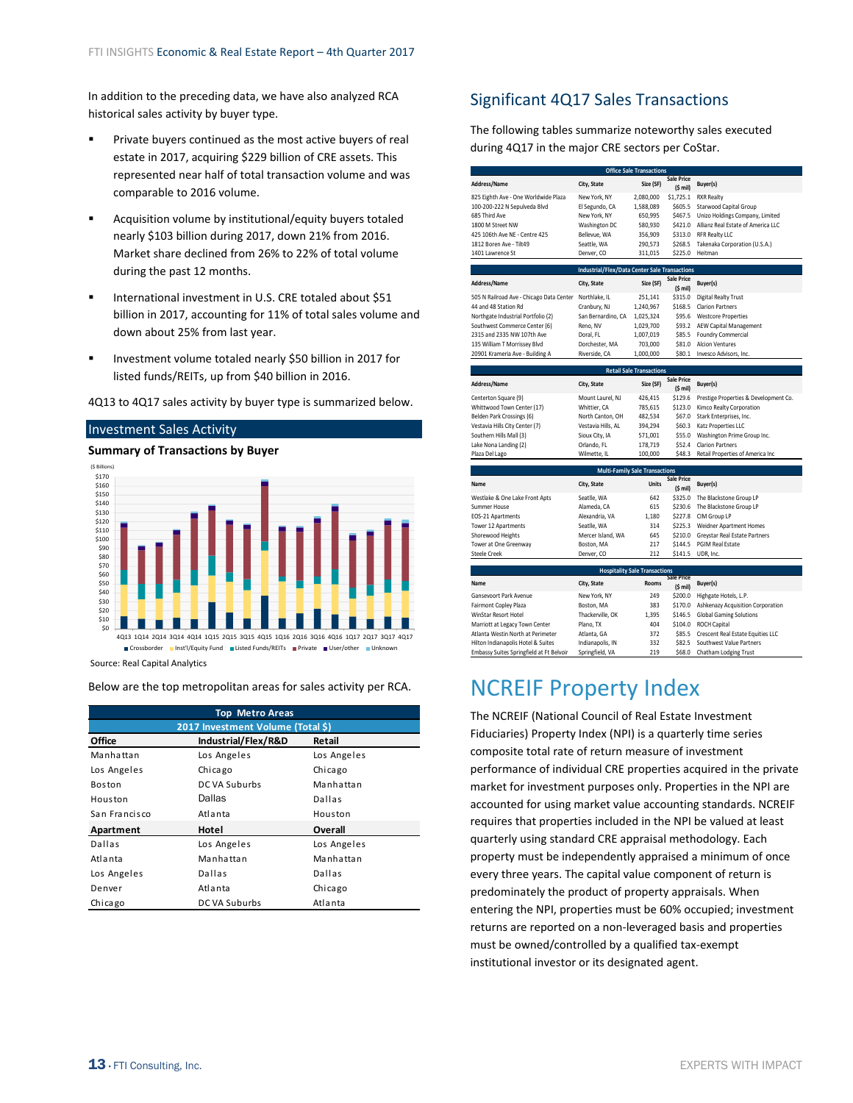<span id="page-12-0"></span>In addition to the preceding data, we have also analyzed RCA historical sales activity by buyer type.

- Private buyers continued as the most active buyers of real estate in 2017, acquiring \$229 billion of CRE assets. This represented near half of total transaction volume and was comparable to 2016 volume.
- Acquisition volume by institutional/equity buyers totaled nearly \$103 billion during 2017, down 21% from 2016. Market share declined from 26% to 22% of total volume during the past 12 months.
- **International investment in U.S. CRE totaled about \$51** billion in 2017, accounting for 11% of total sales volume and down about 25% from last year.
- **Investment volume totaled nearly \$50 billion in 2017 for** listed funds/REITs, up from \$40 billion in 2016.

4Q13 to 4Q17 sales activity by buyer type is summarized below.

#### Investment Sales Activity

**Summary of Transactions by Buyer**



Source: Real Capital Analytics

Below are the top metropolitan areas for sales activity per RCA.

| <b>Top Metro Areas</b>            |                     |             |  |  |  |  |
|-----------------------------------|---------------------|-------------|--|--|--|--|
| 2017 Investment Volume (Total \$) |                     |             |  |  |  |  |
| Office                            | Industrial/Flex/R&D | Retail      |  |  |  |  |
| Manhattan                         | Los Angeles         | Los Angeles |  |  |  |  |
| Los Angeles                       | Chicago             | Chicago     |  |  |  |  |
| Boston                            | DC VA Suburbs       | Manhattan   |  |  |  |  |
| Houston                           | Dallas              | Dallas      |  |  |  |  |
| San Francisco                     | Atlanta             | Houston     |  |  |  |  |
| Apartment                         | Hotel               | Overall     |  |  |  |  |
| Dallas                            | Los Angeles         | Los Angeles |  |  |  |  |
| Atlanta                           | Manhattan           | Manhattan   |  |  |  |  |
| Los Angeles                       | Dallas              | Dallas      |  |  |  |  |
| Denver                            | Atlanta             | Chicago     |  |  |  |  |
| Chicago                           | DC VA Suburbs       | Atlanta     |  |  |  |  |

# Significant 4Q17 Sales Transactions

The following tables summarize noteworthy sales executed during 4Q17 in the major CRE sectors per CoStar.

|                                          |                                                      | <b>Office Sale Transactions</b>       |                                        |                                       |
|------------------------------------------|------------------------------------------------------|---------------------------------------|----------------------------------------|---------------------------------------|
| Address/Name                             | City, State                                          | Size (SF)                             | <b>Sale Price</b><br>(S mil)           | Buyer(s)                              |
| 825 Eighth Ave - One Worldwide Plaza     | New York, NY                                         | 2,080,000                             | \$1,725.1                              | <b>RXR Realty</b>                     |
| 100-200-222 N Sepulveda Blvd             | El Segundo, CA                                       | 1,588,089                             | \$605.5                                | <b>Starwood Capital Group</b>         |
| 685 Third Ave                            | New York, NY                                         | 650,995                               | \$467.5                                | Unizo Holdings Company, Limited       |
| 1800 M Street NW                         | Washington DC                                        | 580,930                               | \$421.0                                | Allianz Real Estate of America LLC    |
| 425 106th Ave NE - Centre 425            | Bellevue, WA                                         | 356,909                               | \$313.0                                | <b>RFR Realty LLC</b>                 |
| 1812 Boren Ave - Tilt49                  | Seattle, WA                                          | 290,573                               | \$268.5                                | Takenaka Corporation (U.S.A.)         |
| 1401 Lawrence St                         | Denver, CO                                           | 311,015                               | \$225.0                                | Heitman                               |
|                                          |                                                      |                                       |                                        |                                       |
|                                          | <b>Industrial/Flex/Data Center Sale Transactions</b> |                                       |                                        |                                       |
| Address/Name                             | City, State                                          | Size (SF)                             | <b>Sale Price</b><br>$(S \text{ mil})$ | Buyer(s)                              |
| 505 N Railroad Ave - Chicago Data Center | Northlake, IL                                        | 251,141                               | \$315.0                                | <b>Digital Realty Trust</b>           |
| 44 and 48 Station Rd                     | Cranbury, NJ                                         | 1,240,967                             | \$168.5                                | <b>Clarion Partners</b>               |
| Northgate Industrial Portfolio (2)       | San Bernardino, CA                                   | 1,025,324                             | \$95.6                                 | <b>Westcore Properties</b>            |
| Southwest Commerce Center (6)            | Reno, NV                                             | 1.029.700                             | \$93.2                                 | <b>AEW Capital Management</b>         |
| 2315 and 2335 NW 107th Ave               | Doral, FL                                            | 1,007,019                             | \$85.5                                 | Foundry Commercial                    |
| 135 William T Morrissey Blvd             | Dorchester, MA                                       | 703,000                               | \$81.0                                 | <b>Alcion Ventures</b>                |
| 20901 Krameria Ave - Building A          | Riverside, CA                                        | 1,000,000                             | \$80.1                                 | Invesco Advisors, Inc.                |
|                                          |                                                      |                                       |                                        |                                       |
|                                          |                                                      | <b>Retail Sale Transactions</b>       |                                        |                                       |
| Address/Name                             | City, State                                          | Size (SF)                             | <b>Sale Price</b><br>(S mil)           | Buyer(s)                              |
| Centerton Square (9)                     | Mount Laurel, NJ                                     | 426,415                               | \$129.6                                | Prestige Properties & Development Co. |
| Whittwood Town Center (17)               | Whittier, CA                                         | 785,615                               | \$123.0                                | Kimco Realty Corporation              |
| Belden Park Crossings (6)                | North Canton, OH                                     | 482,534                               | \$67.0                                 | Stark Enterprises, Inc.               |
| Vestavia Hills City Center (7)           | Vestavia Hills, AL                                   | 394,294                               | \$60.3                                 | Katz Properties LLC                   |
| Southern Hills Mall (3)                  | Sioux City, IA                                       | 571,001                               | \$55.0                                 | Washington Prime Group Inc.           |
| Lake Nona Landing (2)                    | Orlando, FL                                          | 178,719                               | \$52.4                                 | <b>Clarion Partners</b>               |
| Plaza Del Lago                           | Wilmette, IL                                         | 100,000                               | \$48.3                                 | Retail Properties of America Inc.     |
|                                          |                                                      | <b>Multi-Family Sale Transactions</b> |                                        |                                       |
|                                          |                                                      |                                       | Sale Price                             |                                       |
| Name                                     | City, State                                          | <b>Units</b>                          | $(5 \text{ mil})$                      | Buyer(s)                              |
| Westlake & One Lake Front Apts           | Seatlle, WA                                          | 642                                   | \$325.0                                | The Blackstone Group LP               |
| Summer House                             | Alameda, CA                                          | 615                                   | \$230.6                                | The Blackstone Group LP               |
| EOS-21 Apartments                        | Alexandria, VA                                       | 1,180                                 | \$227.8                                | CIM Group LP                          |
| Tower 12 Apartments                      | Seatlle, WA                                          | 314                                   | \$225.3                                | Weidner Apartment Homes               |
| Shorewood Heights                        | Mercer Island, WA                                    | 645                                   | \$210.0                                | Greystar Real Estate Partners         |
| Tower at One Greenway                    | Boston, MA                                           | 217                                   | \$144.5                                | <b>PGIM Real Estate</b>               |
| <b>Steele Creek</b>                      | Denver, CO                                           | 212                                   | \$141.5                                | UDR, Inc.                             |
|                                          |                                                      |                                       |                                        |                                       |
|                                          |                                                      | <b>Hospitality Sale Transactions</b>  | <b>Sale Price</b>                      |                                       |
| Name                                     | City, State                                          | <b>Rooms</b>                          | $(S \text{ mil})$                      | Buyer(s)                              |
| Gansevoort Park Avenue                   | New York, NY                                         | 249                                   | \$200.0                                | Highgate Hotels, L.P.                 |
| Fairmont Copley Plaza                    | Boston, MA                                           | 383                                   | \$170.0                                | Ashkenazy Acquisition Corporation     |
| <b>WinStar Resort Hotel</b>              | Thackerville, OK                                     | 1.395                                 | \$146.5                                | <b>Global Gaming Solutions</b>        |
| Marriott at Legacy Town Center           | Plano, TX                                            | 404                                   | \$104.0                                | <b>ROCH Capital</b>                   |
| Atlanta Westin North at Perimeter        | Atlanta, GA                                          | 372                                   | \$85.5                                 | Crescent Real Estate Equities LLC     |
| Hilton Indianapolis Hotel & Suites       | Indianapolis, IN                                     | 332                                   | \$82.5                                 | Southwest Value Partners              |
| Embassy Suites Springfield at Ft Belvoir | Springfield, VA                                      | 219                                   | \$68.0                                 | Chatham Lodging Trust                 |

# NCREIF Property Index

The NCREIF (National Council of Real Estate Investment Fiduciaries) Property Index (NPI) is a quarterly time series composite total rate of return measure of investment performance of individual CRE properties acquired in the private market for investment purposes only. Properties in the NPI are accounted for using market value accounting standards. NCREIF requires that properties included in the NPI be valued at least quarterly using standard CRE appraisal methodology. Each property must be independently appraised a minimum of once every three years. The capital value component of return is predominately the product of property appraisals. When entering the NPI, properties must be 60% occupied; investment returns are reported on a non‐leveraged basis and properties must be owned/controlled by a qualified tax‐exempt institutional investor or its designated agent.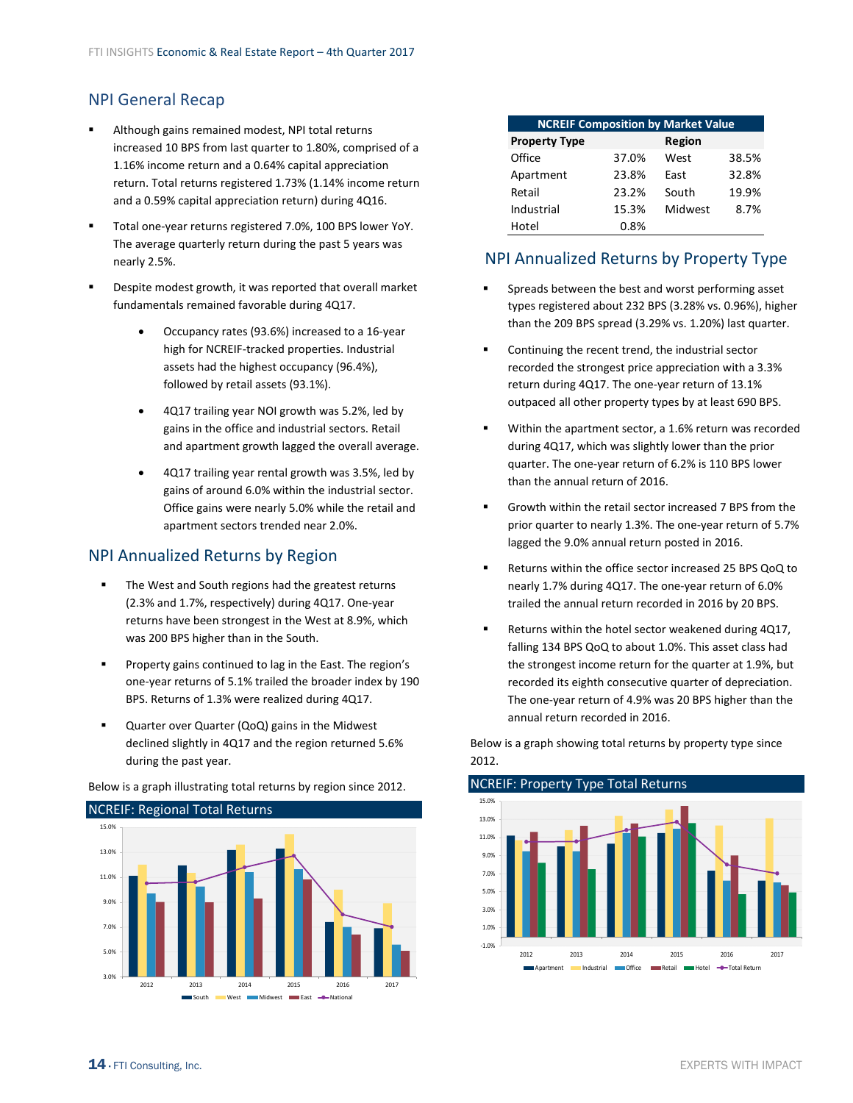# NPI General Recap

- Although gains remained modest, NPI total returns increased 10 BPS from last quarter to 1.80%, comprised of a 1.16% income return and a 0.64% capital appreciation return. Total returns registered 1.73% (1.14% income return and a 0.59% capital appreciation return) during 4Q16.
- Total one‐year returns registered 7.0%, 100 BPS lower YoY. The average quarterly return during the past 5 years was nearly 2.5%.
- Despite modest growth, it was reported that overall market fundamentals remained favorable during 4Q17.
	- Occupancy rates (93.6%) increased to a 16‐year high for NCREIF‐tracked properties. Industrial assets had the highest occupancy (96.4%), followed by retail assets (93.1%).
	- 4Q17 trailing year NOI growth was 5.2%, led by gains in the office and industrial sectors. Retail and apartment growth lagged the overall average.
	- 4Q17 trailing year rental growth was 3.5%, led by gains of around 6.0% within the industrial sector. Office gains were nearly 5.0% while the retail and apartment sectors trended near 2.0%.

## NPI Annualized Returns by Region

- The West and South regions had the greatest returns (2.3% and 1.7%, respectively) during 4Q17. One‐year returns have been strongest in the West at 8.9%, which was 200 BPS higher than in the South.
- Property gains continued to lag in the East. The region's one‐year returns of 5.1% trailed the broader index by 190 BPS. Returns of 1.3% were realized during 4Q17.
- Quarter over Quarter (QoQ) gains in the Midwest declined slightly in 4Q17 and the region returned 5.6% during the past year.

NCREIF: Regional Total Returns 3.0% 5.0% 7.0% 9.0% 11.0% 13.0% 15.0% 2012 2013 2014 2015 2016 2017 **South West Midwest East - National** 

Below is a graph illustrating total returns by region since 2012.

| <b>NCREIF Composition by Market Value</b> |       |         |       |  |  |  |
|-------------------------------------------|-------|---------|-------|--|--|--|
| <b>Property Type</b>                      |       | Region  |       |  |  |  |
| Office                                    | 37.0% | West    | 38.5% |  |  |  |
| Apartment                                 | 23.8% | Fast    | 32.8% |  |  |  |
| Retail                                    | 23.2% | South   | 19.9% |  |  |  |
| Industrial                                | 15.3% | Midwest | 8.7%  |  |  |  |
| Hotel                                     | 0.8%  |         |       |  |  |  |

# NPI Annualized Returns by Property Type

- **Spreads between the best and worst performing asset** types registered about 232 BPS (3.28% vs. 0.96%), higher than the 209 BPS spread (3.29% vs. 1.20%) last quarter.
- Continuing the recent trend, the industrial sector recorded the strongest price appreciation with a 3.3% return during 4Q17. The one‐year return of 13.1% outpaced all other property types by at least 690 BPS.
- Within the apartment sector, a 1.6% return was recorded during 4Q17, which was slightly lower than the prior quarter. The one‐year return of 6.2% is 110 BPS lower than the annual return of 2016.
- Growth within the retail sector increased 7 BPS from the prior quarter to nearly 1.3%. The one‐year return of 5.7% lagged the 9.0% annual return posted in 2016.
- Returns within the office sector increased 25 BPS QoQ to nearly 1.7% during 4Q17. The one‐year return of 6.0% trailed the annual return recorded in 2016 by 20 BPS.
- Returns within the hotel sector weakened during 4Q17, falling 134 BPS QoQ to about 1.0%. This asset class had the strongest income return for the quarter at 1.9%, but recorded its eighth consecutive quarter of depreciation. The one‐year return of 4.9% was 20 BPS higher than the annual return recorded in 2016.

Below is a graph showing total returns by property type since 2012.

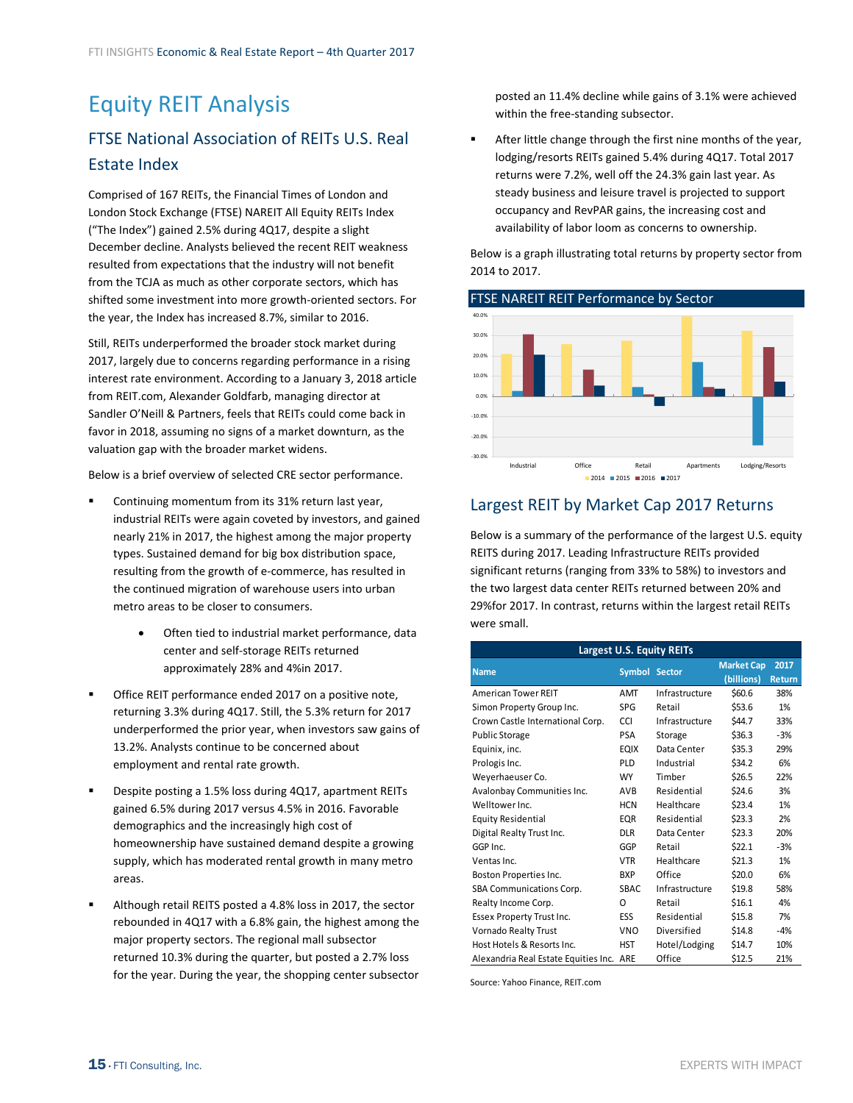# <span id="page-14-0"></span>Equity REIT Analysis FTSE National Association of REITs U.S. Real Estate Index

Comprised of 167 REITs, the Financial Times of London and London Stock Exchange (FTSE) NAREIT All Equity REITs Index ("The Index") gained 2.5% during 4Q17, despite a slight December decline. Analysts believed the recent REIT weakness resulted from expectations that the industry will not benefit from the TCJA as much as other corporate sectors, which has shifted some investment into more growth‐oriented sectors. For the year, the Index has increased 8.7%, similar to 2016.

Still, REITs underperformed the broader stock market during 2017, largely due to concerns regarding performance in a rising interest rate environment. According to a January 3, 2018 article from REIT.com, Alexander Goldfarb, managing director at Sandler O'Neill & Partners, feels that REITs could come back in favor in 2018, assuming no signs of a market downturn, as the valuation gap with the broader market widens.

Below is a brief overview of selected CRE sector performance.

- Continuing momentum from its 31% return last year, industrial REITs were again coveted by investors, and gained nearly 21% in 2017, the highest among the major property types. Sustained demand for big box distribution space, resulting from the growth of e‐commerce, has resulted in the continued migration of warehouse users into urban metro areas to be closer to consumers.
	- Often tied to industrial market performance, data center and self‐storage REITs returned approximately 28% and 4%in 2017.
- Office REIT performance ended 2017 on a positive note, returning 3.3% during 4Q17. Still, the 5.3% return for 2017 underperformed the prior year, when investors saw gains of 13.2%. Analysts continue to be concerned about employment and rental rate growth.
- Despite posting a 1.5% loss during 4Q17, apartment REITs gained 6.5% during 2017 versus 4.5% in 2016. Favorable demographics and the increasingly high cost of homeownership have sustained demand despite a growing supply, which has moderated rental growth in many metro areas.
- Although retail REITS posted a 4.8% loss in 2017, the sector rebounded in 4Q17 with a 6.8% gain, the highest among the major property sectors. The regional mall subsector returned 10.3% during the quarter, but posted a 2.7% loss for the year. During the year, the shopping center subsector

posted an 11.4% decline while gains of 3.1% were achieved within the free‐standing subsector.

 After little change through the first nine months of the year, lodging/resorts REITs gained 5.4% during 4Q17. Total 2017 returns were 7.2%, well off the 24.3% gain last year. As steady business and leisure travel is projected to support occupancy and RevPAR gains, the increasing cost and availability of labor loom as concerns to ownership.

Below is a graph illustrating total returns by property sector from 2014 to 2017.



# Largest REIT by Market Cap 2017 Returns

Below is a summary of the performance of the largest U.S. equity REITS during 2017. Leading Infrastructure REITs provided significant returns (ranging from 33% to 58%) to investors and the two largest data center REITs returned between 20% and 29%for 2017. In contrast, returns within the largest retail REITs were small.

| <b>Largest U.S. Equity REITs</b>         |               |                |                   |        |  |  |
|------------------------------------------|---------------|----------------|-------------------|--------|--|--|
| <b>Name</b>                              | Symbol Sector |                | <b>Market Cap</b> | 2017   |  |  |
|                                          |               |                | (billions)        | Return |  |  |
| <b>American Tower REIT</b>               | AMT           | Infrastructure | \$60.6            | 38%    |  |  |
| Simon Property Group Inc.                | <b>SPG</b>    | Retail         | \$53.6            | 1%     |  |  |
| Crown Castle International Corp.         | CCI           | Infrastructure | \$44.7            | 33%    |  |  |
| <b>Public Storage</b>                    | <b>PSA</b>    | Storage        | \$36.3            | $-3%$  |  |  |
| Equinix, inc.                            | <b>EQIX</b>   | Data Center    | \$35.3            | 29%    |  |  |
| Prologis Inc.                            | PLD           | Industrial     | \$34.2            | 6%     |  |  |
| Weyerhaeuser Co.                         | <b>WY</b>     | Timber         | \$26.5            | 22%    |  |  |
| Avalonbay Communities Inc.               | AVB.          | Residential    | \$24.6            | 3%     |  |  |
| Welltower Inc.                           | <b>HCN</b>    | Healthcare     | \$23.4            | 1%     |  |  |
| <b>Equity Residential</b>                | EQR           | Residential    | \$23.3            | 2%     |  |  |
| Digital Realty Trust Inc.                | <b>DLR</b>    | Data Center    | \$23.3            | 20%    |  |  |
| GGP Inc.                                 | GGP           | Retail         | \$22.1            | $-3%$  |  |  |
| Ventas Inc.                              | <b>VTR</b>    | Healthcare     | \$21.3            | 1%     |  |  |
| Boston Properties Inc.                   | <b>BXP</b>    | Office         | \$20.0            | 6%     |  |  |
| SBA Communications Corp.                 | SBAC          | Infrastructure | \$19.8            | 58%    |  |  |
| Realty Income Corp.                      | O             | Retail         | \$16.1            | 4%     |  |  |
| Essex Property Trust Inc.                | ESS           | Residential    | \$15.8            | 7%     |  |  |
| Vornado Realty Trust                     | VNO           | Diversified    | \$14.8            | $-4%$  |  |  |
| Host Hotels & Resorts Inc.               | <b>HST</b>    | Hotel/Lodging  | \$14.7            | 10%    |  |  |
| Alexandria Real Estate Equities Inc. ARE |               | Office         | \$12.5            | 21%    |  |  |

Source: Yahoo Finance, REIT.com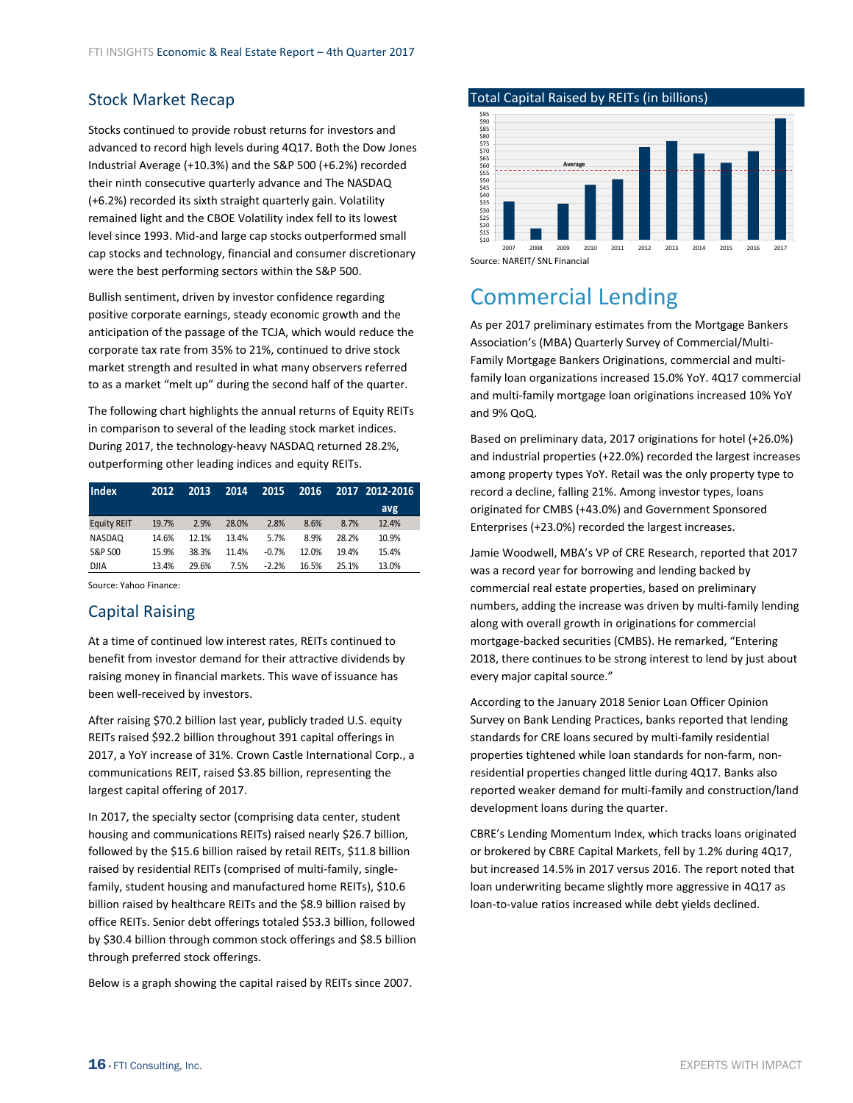# <span id="page-15-0"></span>Stock Market Recap

Stocks continued to provide robust returns for investors and advanced to record high levels during 4Q17. Both the Dow Jones Industrial Average (+10.3%) and the S&P 500 (+6.2%) recorded their ninth consecutive quarterly advance and The NASDAQ (+6.2%) recorded its sixth straight quarterly gain. Volatility remained light and the CBOE Volatility index fell to its lowest level since 1993. Mid‐and large cap stocks outperformed small cap stocks and technology, financial and consumer discretionary were the best performing sectors within the S&P 500.

Bullish sentiment, driven by investor confidence regarding positive corporate earnings, steady economic growth and the anticipation of the passage of the TCJA, which would reduce the corporate tax rate from 35% to 21%, continued to drive stock market strength and resulted in what many observers referred to as a market "melt up" during the second half of the quarter.

The following chart highlights the annual returns of Equity REITs in comparison to several of the leading stock market indices. During 2017, the technology‐heavy NASDAQ returned 28.2%, outperforming other leading indices and equity REITs.

| Index              | 2012  | 2013  | 2014  | 2015    | 2016  |       | 2017 2012-2016 |
|--------------------|-------|-------|-------|---------|-------|-------|----------------|
|                    |       |       |       |         |       |       | avg.           |
| <b>Equity REIT</b> | 19.7% | 2.9%  | 28.0% | 2.8%    | 8.6%  | 8.7%  | 12.4%          |
| NASDAQ             | 14.6% | 12.1% | 13.4% | 5.7%    | 8.9%  | 28.2% | 10.9%          |
| S&P 500            | 15.9% | 38.3% | 11.4% | $-0.7%$ | 12.0% | 19.4% | 15.4%          |
| <b>DJIA</b>        | 13.4% | 29.6% | 7.5%  | $-2.2%$ | 16.5% | 25.1% | 13.0%          |

Source: Yahoo Finance:

## Capital Raising

At a time of continued low interest rates, REITs continued to benefit from investor demand for their attractive dividends by raising money in financial markets. This wave of issuance has been well-received by investors.

After raising \$70.2 billion last year, publicly traded U.S. equity REITs raised \$92.2 billion throughout 391 capital offerings in 2017, a YoY increase of 31%. Crown Castle International Corp., a communications REIT, raised \$3.85 billion, representing the largest capital offering of 2017.

In 2017, the specialty sector (comprising data center, student housing and communications REITs) raised nearly \$26.7 billion, followed by the \$15.6 billion raised by retail REITs, \$11.8 billion raised by residential REITs (comprised of multi‐family, single‐ family, student housing and manufactured home REITs), \$10.6 billion raised by healthcare REITs and the \$8.9 billion raised by office REITs. Senior debt offerings totaled \$53.3 billion, followed by \$30.4 billion through common stock offerings and \$8.5 billion through preferred stock offerings.

Below is a graph showing the capital raised by REITs since 2007.

Total Capital Raised by REITs (in billions)



Source: NAREIT/ SNL Financial

# Commercial Lending

As per 2017 preliminary estimates from the Mortgage Bankers Association's (MBA) Quarterly Survey of Commercial/Multi‐ Family Mortgage Bankers Originations, commercial and multi‐ family loan organizations increased 15.0% YoY. 4Q17 commercial and multi‐family mortgage loan originations increased 10% YoY and 9% QoQ.

Based on preliminary data, 2017 originations for hotel (+26.0%) and industrial properties (+22.0%) recorded the largest increases among property types YoY. Retail was the only property type to record a decline, falling 21%. Among investor types, loans originated for CMBS (+43.0%) and Government Sponsored Enterprises (+23.0%) recorded the largest increases.

Jamie Woodwell, MBA's VP of CRE Research, reported that 2017 was a record year for borrowing and lending backed by commercial real estate properties, based on preliminary numbers, adding the increase was driven by multi‐family lending along with overall growth in originations for commercial mortgage‐backed securities (CMBS). He remarked, "Entering 2018, there continues to be strong interest to lend by just about every major capital source."

According to the January 2018 Senior Loan Officer Opinion Survey on Bank Lending Practices, banks reported that lending standards for CRE loans secured by multi‐family residential properties tightened while loan standards for non‐farm, non‐ residential properties changed little during 4Q17. Banks also reported weaker demand for multi‐family and construction/land development loans during the quarter.

CBRE's Lending Momentum Index, which tracks loans originated or brokered by CBRE Capital Markets, fell by 1.2% during 4Q17, but increased 14.5% in 2017 versus 2016. The report noted that loan underwriting became slightly more aggressive in 4Q17 as loan‐to‐value ratios increased while debt yields declined.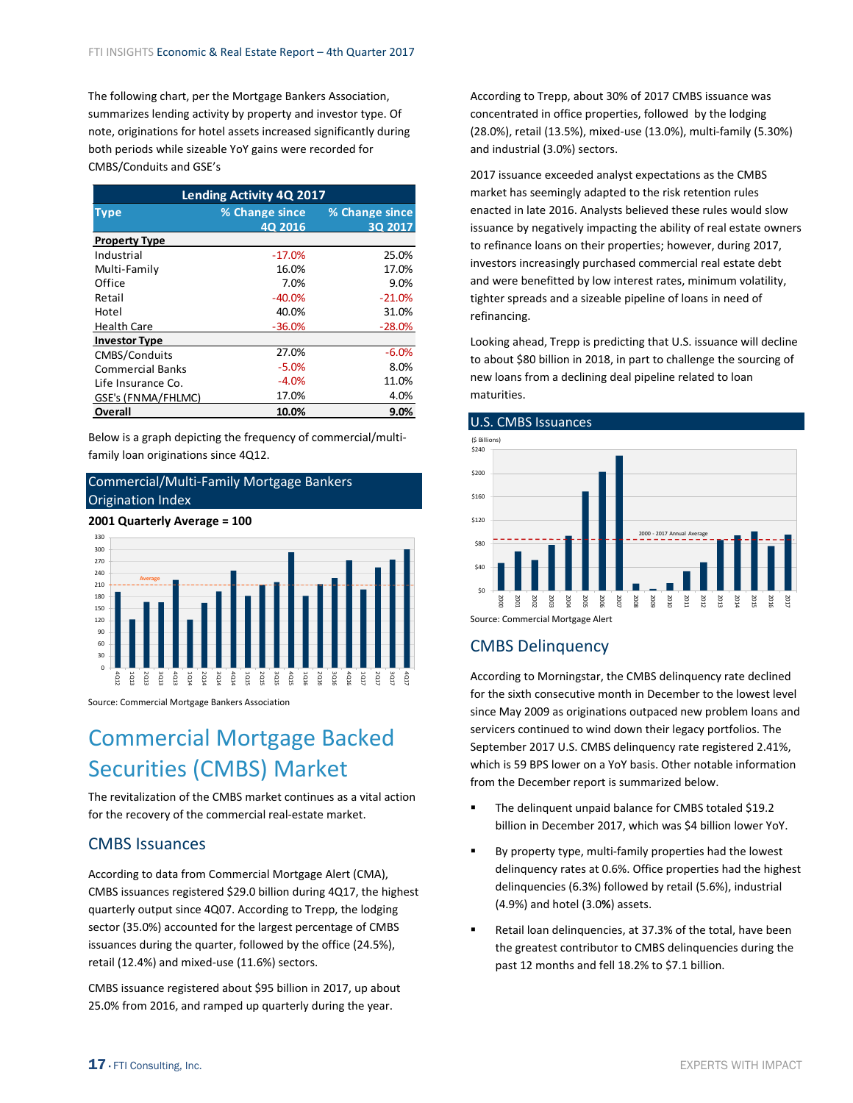<span id="page-16-0"></span>The following chart, per the Mortgage Bankers Association, summarizes lending activity by property and investor type. Of note, originations for hotel assets increased significantly during both periods while sizeable YoY gains were recorded for CMBS/Conduits and GSE's

| <b>Lending Activity 4Q 2017</b> |                                  |                           |  |  |  |  |
|---------------------------------|----------------------------------|---------------------------|--|--|--|--|
| <b>Type</b>                     | % Change since<br><b>40 2016</b> | % Change since<br>30 2017 |  |  |  |  |
| <b>Property Type</b>            |                                  |                           |  |  |  |  |
| Industrial                      | $-17.0%$                         | 25.0%                     |  |  |  |  |
| Multi-Family                    | 16.0%                            | 17.0%                     |  |  |  |  |
| Office                          | 7.0%                             | 9.0%                      |  |  |  |  |
| Retail                          | $-40.0%$                         | $-21.0%$                  |  |  |  |  |
| Hotel                           | 40.0%                            | 31.0%                     |  |  |  |  |
| <b>Health Care</b>              | $-36.0%$                         | $-28.0%$                  |  |  |  |  |
| <b>Investor Type</b>            |                                  |                           |  |  |  |  |
| CMBS/Conduits                   | 27.0%                            | $-6.0%$                   |  |  |  |  |
| Commercial Banks                | $-5.0%$                          | 8.0%                      |  |  |  |  |
| Life Insurance Co.              | $-4.0%$                          | 11.0%                     |  |  |  |  |
| GSE's (FNMA/FHLMC)              | 17.0%                            | 4.0%                      |  |  |  |  |
| Overall                         | 10.0%                            | $9.0\%$                   |  |  |  |  |

Below is a graph depicting the frequency of commercial/multi‐ family loan originations since 4Q12.

### Commercial/Multi‐Family Mortgage Bankers Origination Index

**2001 Quarterly Average = 100**



Source: Commercial Mortgage Bankers Association

# Commercial Mortgage Backed Securities (CMBS) Market

The revitalization of the CMBS market continues as a vital action for the recovery of the commercial real‐estate market.

### CMBS Issuances

According to data from Commercial Mortgage Alert (CMA), CMBS issuances registered \$29.0 billion during 4Q17, the highest quarterly output since 4Q07. According to Trepp, the lodging sector (35.0%) accounted for the largest percentage of CMBS issuances during the quarter, followed by the office (24.5%), retail (12.4%) and mixed‐use (11.6%) sectors.

CMBS issuance registered about \$95 billion in 2017, up about 25.0% from 2016, and ramped up quarterly during the year.

According to Trepp, about 30% of 2017 CMBS issuance was concentrated in office properties, followed by the lodging (28.0%), retail (13.5%), mixed‐use (13.0%), multi‐family (5.30%) and industrial (3.0%) sectors.

2017 issuance exceeded analyst expectations as the CMBS market has seemingly adapted to the risk retention rules enacted in late 2016. Analysts believed these rules would slow issuance by negatively impacting the ability of real estate owners to refinance loans on their properties; however, during 2017, investors increasingly purchased commercial real estate debt and were benefitted by low interest rates, minimum volatility, tighter spreads and a sizeable pipeline of loans in need of refinancing.

Looking ahead, Trepp is predicting that U.S. issuance will decline to about \$80 billion in 2018, in part to challenge the sourcing of new loans from a declining deal pipeline related to loan maturities.

### U.S. CMBS Issuances



Source: Commercial Mortgage Alert

### CMBS Delinquency

According to Morningstar, the CMBS delinquency rate declined for the sixth consecutive month in December to the lowest level since May 2009 as originations outpaced new problem loans and servicers continued to wind down their legacy portfolios. The September 2017 U.S. CMBS delinquency rate registered 2.41%, which is 59 BPS lower on a YoY basis. Other notable information from the December report is summarized below.

- The delinquent unpaid balance for CMBS totaled \$19.2 billion in December 2017, which was \$4 billion lower YoY.
- By property type, multi-family properties had the lowest delinquency rates at 0.6%. Office properties had the highest delinquencies (6.3%) followed by retail (5.6%), industrial (4.9%) and hotel (3.0**%**) assets.
- Retail loan delinquencies, at 37.3% of the total, have been the greatest contributor to CMBS delinquencies during the past 12 months and fell 18.2% to \$7.1 billion.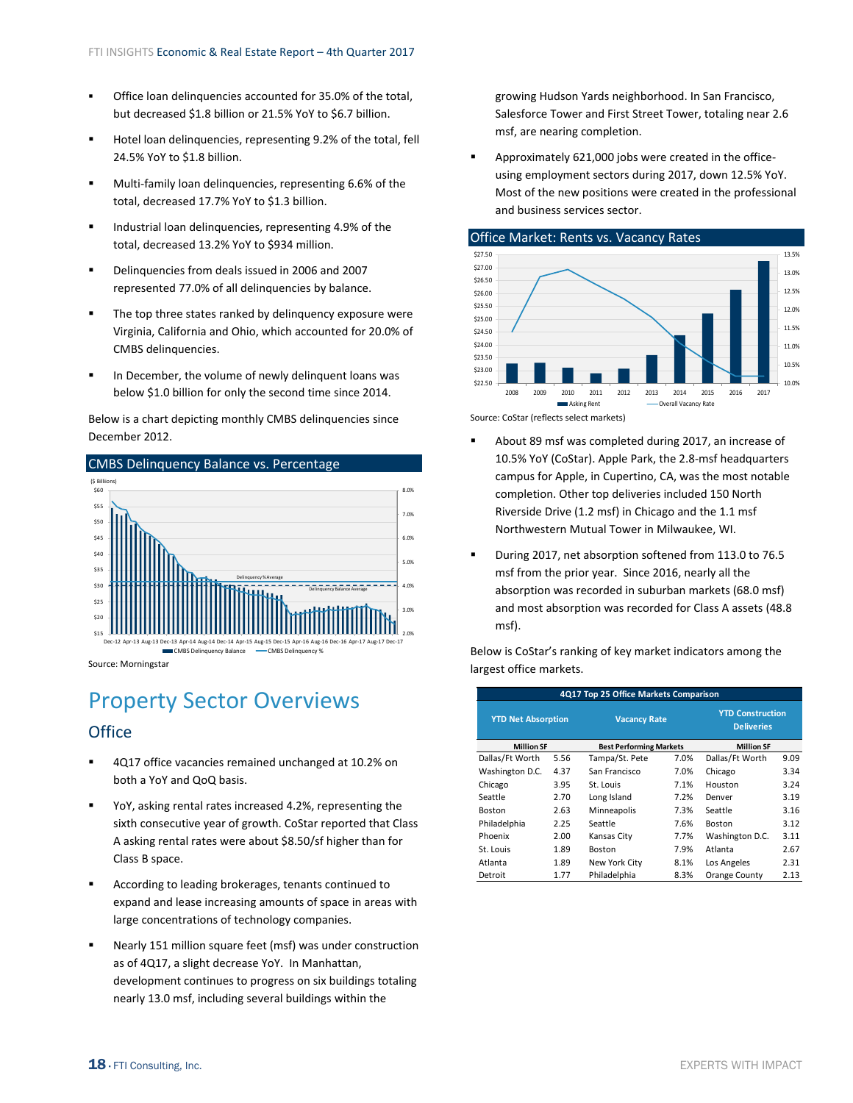- <span id="page-17-0"></span> Office loan delinquencies accounted for 35.0% of the total, but decreased \$1.8 billion or 21.5% YoY to \$6.7 billion.
- Hotel loan delinquencies, representing 9.2% of the total, fell 24.5% YoY to \$1.8 billion.
- Multi‐family loan delinquencies, representing 6.6% of the total, decreased 17.7% YoY to \$1.3 billion.
- Industrial loan delinquencies, representing 4.9% of the total, decreased 13.2% YoY to \$934 million.
- Delinquencies from deals issued in 2006 and 2007 represented 77.0% of all delinquencies by balance.
- The top three states ranked by delinquency exposure were Virginia, California and Ohio, which accounted for 20.0% of CMBS delinquencies.
- In December, the volume of newly delinquent loans was below \$1.0 billion for only the second time since 2014.

Below is a chart depicting monthly CMBS delinquencies since December 2012.



Source: Morningstar

# Property Sector Overviews

### **Office**

- 4Q17 office vacancies remained unchanged at 10.2% on both a YoY and QoQ basis.
- YoY, asking rental rates increased 4.2%, representing the sixth consecutive year of growth. CoStar reported that Class A asking rental rates were about \$8.50/sf higher than for Class B space.
- According to leading brokerages, tenants continued to expand and lease increasing amounts of space in areas with large concentrations of technology companies.
- Nearly 151 million square feet (msf) was under construction as of 4Q17, a slight decrease YoY. In Manhattan, development continues to progress on six buildings totaling nearly 13.0 msf, including several buildings within the

growing Hudson Yards neighborhood. In San Francisco, Salesforce Tower and First Street Tower, totaling near 2.6 msf, are nearing completion.

■ Approximately 621,000 jobs were created in the officeusing employment sectors during 2017, down 12.5% YoY. Most of the new positions were created in the professional and business services sector.



Source: CoStar (reflects select markets)

- About 89 msf was completed during 2017, an increase of 10.5% YoY (CoStar). Apple Park, the 2.8‐msf headquarters campus for Apple, in Cupertino, CA, was the most notable completion. Other top deliveries included 150 North Riverside Drive (1.2 msf) in Chicago and the 1.1 msf Northwestern Mutual Tower in Milwaukee, WI.
- During 2017, net absorption softened from 113.0 to 76.5 msf from the prior year. Since 2016, nearly all the absorption was recorded in suburban markets (68.0 msf) and most absorption was recorded for Class A assets (48.8 msf).

Below is CoStar's ranking of key market indicators among the largest office markets.

| 4Q17 Top 25 Office Markets Comparison |                                                  |                                |                                              |                   |      |  |  |
|---------------------------------------|--------------------------------------------------|--------------------------------|----------------------------------------------|-------------------|------|--|--|
|                                       | <b>YTD Net Absorption</b><br><b>Vacancy Rate</b> |                                | <b>YTD Construction</b><br><b>Deliveries</b> |                   |      |  |  |
| <b>Million SF</b>                     |                                                  | <b>Best Performing Markets</b> |                                              | <b>Million SF</b> |      |  |  |
| Dallas/Ft Worth                       | 5.56                                             | Tampa/St. Pete                 | 7.0%                                         | Dallas/Ft Worth   | 9.09 |  |  |
| Washington D.C.                       | 4.37                                             | San Francisco                  | 7.0%                                         | Chicago           | 3.34 |  |  |
| Chicago                               | 3.95                                             | St. Louis                      | 7.1%                                         | Houston           | 3.24 |  |  |
| Seattle                               | 2.70                                             | Long Island                    | 7.2%                                         | Denver            | 3.19 |  |  |
| <b>Boston</b>                         | 2.63                                             | Minneapolis                    | 7.3%                                         | Seattle           | 3.16 |  |  |
| Philadelphia                          | 2.25                                             | Seattle                        | 7.6%                                         | <b>Boston</b>     | 3.12 |  |  |
| Phoenix                               | 2.00                                             | Kansas City                    | 7.7%                                         | Washington D.C.   | 3.11 |  |  |
| St. Louis                             | 1.89                                             | <b>Boston</b>                  | 7.9%                                         | Atlanta           | 2.67 |  |  |
| Atlanta                               | 1.89                                             | New York City                  | 8.1%                                         | Los Angeles       | 2.31 |  |  |
| Detroit                               | 1.77                                             | Philadelphia                   | 8.3%                                         | Orange County     | 2.13 |  |  |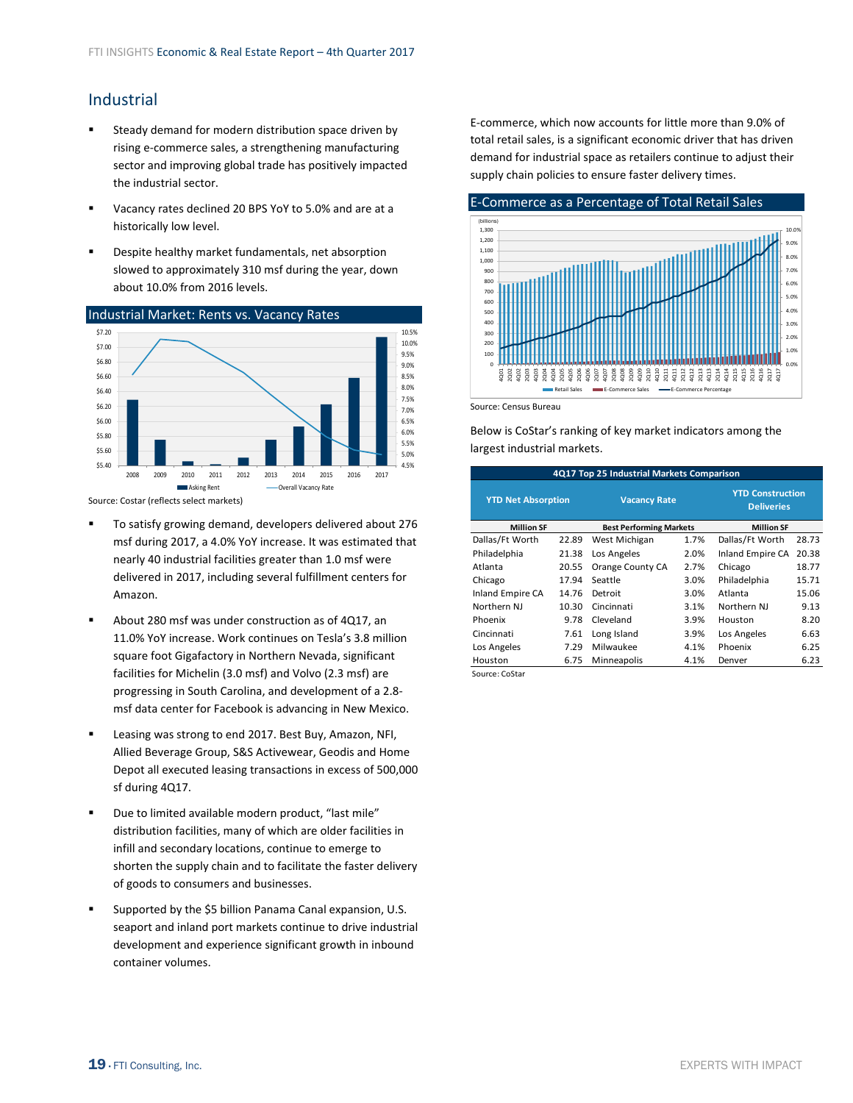# <span id="page-18-0"></span>Industrial

- Steady demand for modern distribution space driven by rising e‐commerce sales, a strengthening manufacturing sector and improving global trade has positively impacted the industrial sector.
- Vacancy rates declined 20 BPS YoY to 5.0% and are at a historically low level.
- Despite healthy market fundamentals, net absorption slowed to approximately 310 msf during the year, down about 10.0% from 2016 levels.



Source: Costar (reflects select markets)

- To satisfy growing demand, developers delivered about 276 msf during 2017, a 4.0% YoY increase. It was estimated that nearly 40 industrial facilities greater than 1.0 msf were delivered in 2017, including several fulfillment centers for Amazon.
- About 280 msf was under construction as of 4Q17, an 11.0% YoY increase. Work continues on Tesla's 3.8 million square foot Gigafactory in Northern Nevada, significant facilities for Michelin (3.0 msf) and Volvo (2.3 msf) are progressing in South Carolina, and development of a 2.8‐ msf data center for Facebook is advancing in New Mexico.
- Leasing was strong to end 2017. Best Buy, Amazon, NFI, Allied Beverage Group, S&S Activewear, Geodis and Home Depot all executed leasing transactions in excess of 500,000 sf during 4Q17.
- Due to limited available modern product, "last mile" distribution facilities, many of which are older facilities in infill and secondary locations, continue to emerge to shorten the supply chain and to facilitate the faster delivery of goods to consumers and businesses.
- Supported by the \$5 billion Panama Canal expansion, U.S. seaport and inland port markets continue to drive industrial development and experience significant growth in inbound container volumes.

E‐commerce, which now accounts for little more than 9.0% of total retail sales, is a significant economic driver that has driven demand for industrial space as retailers continue to adjust their supply chain policies to ensure faster delivery times.



Source: Census Bureau

Below is CoStar's ranking of key market indicators among the largest industrial markets.

| 4Q17 Top 25 Industrial Markets Comparison           |       |                     |                   |                                              |       |  |  |  |
|-----------------------------------------------------|-------|---------------------|-------------------|----------------------------------------------|-------|--|--|--|
| <b>YTD Net Absorption</b>                           |       | <b>Vacancy Rate</b> |                   | <b>YTD Construction</b><br><b>Deliveries</b> |       |  |  |  |
| <b>Million SF</b><br><b>Best Performing Markets</b> |       |                     | <b>Million SF</b> |                                              |       |  |  |  |
| Dallas/Ft Worth                                     | 22.89 | West Michigan       | 1.7%              | Dallas/Ft Worth                              | 28.73 |  |  |  |
| Philadelphia                                        | 21.38 | Los Angeles         | 2.0%              | Inland Empire CA                             | 20.38 |  |  |  |
| Atlanta                                             | 20.55 | Orange County CA    | 2.7%              | Chicago                                      | 18.77 |  |  |  |
| Chicago                                             | 17.94 | Seattle             | 3.0%              | Philadelphia                                 | 15.71 |  |  |  |
| Inland Empire CA                                    | 14.76 | Detroit             | 3.0%              | Atlanta                                      | 15.06 |  |  |  |
| Northern NJ                                         | 10.30 | Cincinnati          | 3.1%              | Northern NJ                                  | 9.13  |  |  |  |
| Phoenix                                             | 9.78  | Cleveland           | 3.9%              | Houston                                      | 8.20  |  |  |  |
| Cincinnati                                          | 7.61  | Long Island         | 3.9%              | Los Angeles                                  | 6.63  |  |  |  |
| Los Angeles                                         | 7.29  | Milwaukee           | 4.1%              | Phoenix                                      | 6.25  |  |  |  |
| Houston                                             | 6.75  | Minneapolis         | 4.1%              | Denver                                       | 6.23  |  |  |  |
| Source: CoStar                                      |       |                     |                   |                                              |       |  |  |  |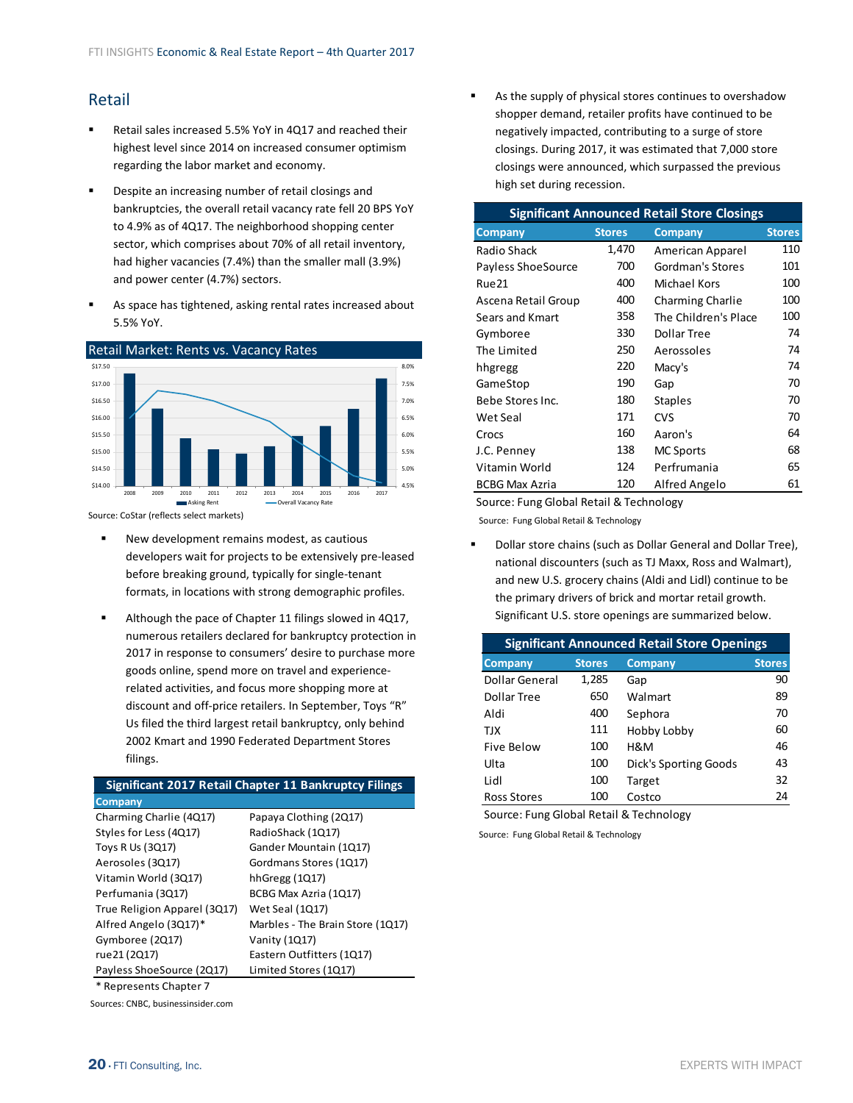# <span id="page-19-0"></span>Retail

- Retail sales increased 5.5% YoY in 4Q17 and reached their highest level since 2014 on increased consumer optimism regarding the labor market and economy.
- **•** Despite an increasing number of retail closings and bankruptcies, the overall retail vacancy rate fell 20 BPS YoY to 4.9% as of 4Q17. The neighborhood shopping center sector, which comprises about 70% of all retail inventory, had higher vacancies (7.4%) than the smaller mall (3.9%) and power center (4.7%) sectors.
- As space has tightened, asking rental rates increased about 5.5% YoY.



Source: CoStar (reflects select markets)

- New development remains modest, as cautious developers wait for projects to be extensively pre‐leased before breaking ground, typically for single‐tenant formats, in locations with strong demographic profiles.
- Although the pace of Chapter 11 filings slowed in 4Q17, numerous retailers declared for bankruptcy protection in 2017 in response to consumers' desire to purchase more goods online, spend more on travel and experience‐ related activities, and focus more shopping more at discount and off‐price retailers. In September, Toys "R" Us filed the third largest retail bankruptcy, only behind 2002 Kmart and 1990 Federated Department Stores filings.

### **Significant 2017 Retail Chapter 11 Bankruptcy Filings**

| Company                      |                                  |
|------------------------------|----------------------------------|
| Charming Charlie (4Q17)      | Papaya Clothing (2017)           |
| Styles for Less (4Q17)       | RadioShack (1Q17)                |
| Toys R Us (3Q17)             | Gander Mountain (1Q17)           |
| Aerosoles (3Q17)             | Gordmans Stores (1Q17)           |
| Vitamin World (3Q17)         | hhGregg $(1Q17)$                 |
| Perfumania (3Q17)            | BCBG Max Azria (1Q17)            |
| True Religion Apparel (3Q17) | Wet Seal (1Q17)                  |
| Alfred Angelo (3Q17)*        | Marbles - The Brain Store (1Q17) |
| Gymboree (2Q17)              | Vanity (1Q17)                    |
| rue 21 (2Q17)                | Eastern Outfitters (1Q17)        |
| Payless ShoeSource (2Q17)    | Limited Stores (1Q17)            |
| * Represents Chapter 7       |                                  |

Sources: CNBC, businessinsider.com

 As the supply of physical stores continues to overshadow shopper demand, retailer profits have continued to be negatively impacted, contributing to a surge of store closings. During 2017, it was estimated that 7,000 store closings were announced, which surpassed the previous high set during recession.

| <b>Significant Announced Retail Store Closings</b> |               |                      |               |  |  |  |
|----------------------------------------------------|---------------|----------------------|---------------|--|--|--|
| <b>Company</b>                                     | <b>Stores</b> | <b>Company</b>       | <b>Stores</b> |  |  |  |
| Radio Shack                                        | 1,470         | American Apparel     | 110           |  |  |  |
| Payless ShoeSource                                 | 700           | Gordman's Stores     | 101           |  |  |  |
| Rue <sub>21</sub>                                  | 400           | Michael Kors         | 100           |  |  |  |
| Ascena Retail Group                                | 400           | Charming Charlie     | 100           |  |  |  |
| Sears and Kmart                                    | 358           | The Children's Place | 100           |  |  |  |
| Gymboree                                           | 330           | Dollar Tree          | 74            |  |  |  |
| The Limited                                        | 250           | Aerossoles           | 74            |  |  |  |
| hhgregg                                            | 220           | Macy's               | 74            |  |  |  |
| GameStop                                           | 190           | Gap                  | 70            |  |  |  |
| Bebe Stores Inc.                                   | 180           | <b>Staples</b>       | 70            |  |  |  |
| Wet Seal                                           | 171           | <b>CVS</b>           | 70            |  |  |  |
| Crocs                                              | 160           | Aaron's              | 64            |  |  |  |
| J.C. Penney                                        | 138           | <b>MC Sports</b>     | 68            |  |  |  |
| Vitamin World                                      | 124           | Perfrumania          | 65            |  |  |  |
| <b>BCBG Max Azria</b>                              | 120           | Alfred Angelo        | 61            |  |  |  |

Source: Fung Global Retail & Technology

Source: Fung Global Retail & Technology

 Dollar store chains (such as Dollar General and Dollar Tree), national discounters (such as TJ Maxx, Ross and Walmart), and new U.S. grocery chains (Aldi and Lidl) continue to be the primary drivers of brick and mortar retail growth. Significant U.S. store openings are summarized below.

| <b>Significant Announced Retail Store Openings</b> |               |                       |               |  |  |  |  |
|----------------------------------------------------|---------------|-----------------------|---------------|--|--|--|--|
| <b>Company</b>                                     | <b>Stores</b> | <b>Company</b>        | <b>Stores</b> |  |  |  |  |
| Dollar General                                     | 1,285         | Gap                   | 90            |  |  |  |  |
| Dollar Tree                                        | 650           | Walmart               | 89            |  |  |  |  |
| Aldi                                               | 400           | Sephora               | 70            |  |  |  |  |
| TJX                                                | 111           | Hobby Lobby           | 60            |  |  |  |  |
| Five Below                                         | 100           | H&M                   | 46            |  |  |  |  |
| Ulta                                               | 100           | Dick's Sporting Goods | 43            |  |  |  |  |
| Lidl                                               | 100           | Target                | 32            |  |  |  |  |
| <b>Ross Stores</b>                                 | 100           | Costco                | 24            |  |  |  |  |

Source: Fung Global Retail & Technology

Source: Fung Global Retail & Technology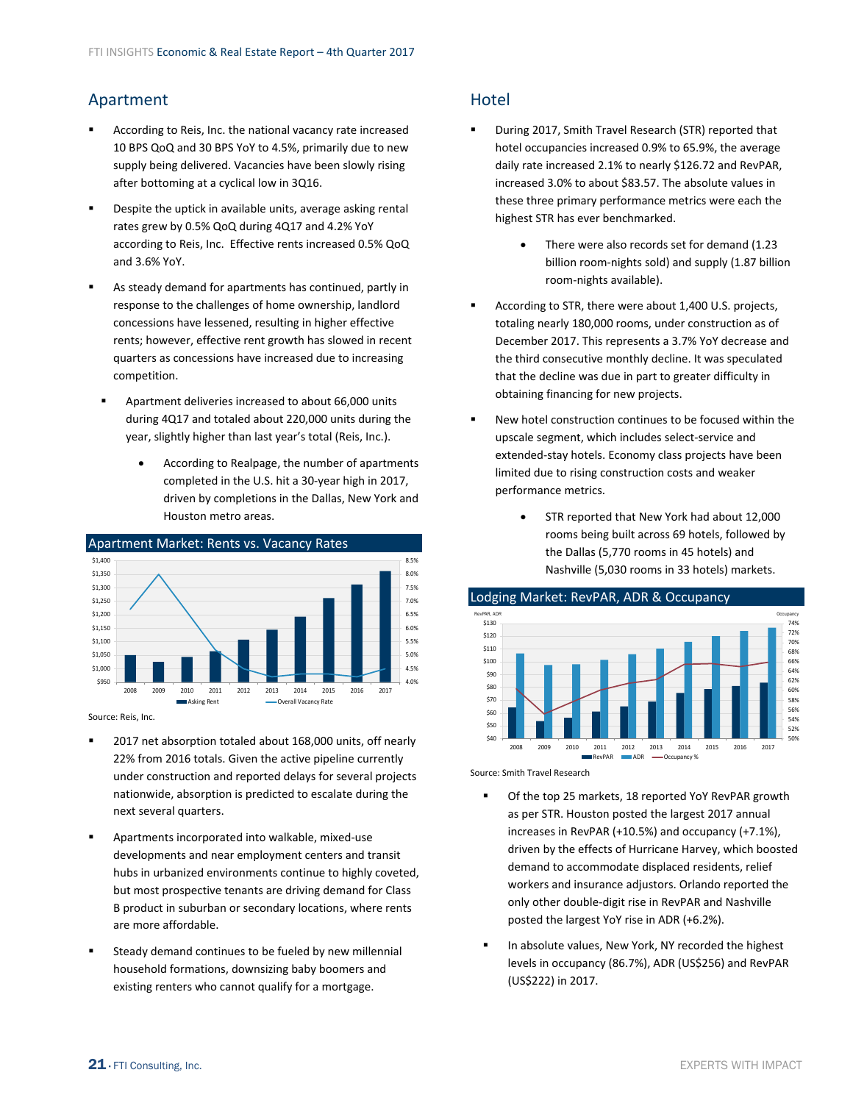# <span id="page-20-0"></span>Apartment

- According to Reis, Inc. the national vacancy rate increased 10 BPS QoQ and 30 BPS YoY to 4.5%, primarily due to new supply being delivered. Vacancies have been slowly rising after bottoming at a cyclical low in 3Q16.
- Despite the uptick in available units, average asking rental rates grew by 0.5% QoQ during 4Q17 and 4.2% YoY according to Reis, Inc. Effective rents increased 0.5% QoQ and 3.6% YoY.
- As steady demand for apartments has continued, partly in response to the challenges of home ownership, landlord concessions have lessened, resulting in higher effective rents; however, effective rent growth has slowed in recent quarters as concessions have increased due to increasing competition.
- Apartment deliveries increased to about 66,000 units during 4Q17 and totaled about 220,000 units during the year, slightly higher than last year's total (Reis, Inc.).
	- According to Realpage, the number of apartments completed in the U.S. hit a 30‐year high in 2017, driven by completions in the Dallas, New York and Houston metro areas.



Source: Reis, Inc.

- 2017 net absorption totaled about 168,000 units, off nearly 22% from 2016 totals. Given the active pipeline currently under construction and reported delays for several projects nationwide, absorption is predicted to escalate during the next several quarters.
- Apartments incorporated into walkable, mixed‐use developments and near employment centers and transit hubs in urbanized environments continue to highly coveted, but most prospective tenants are driving demand for Class B product in suburban or secondary locations, where rents are more affordable.
- Steady demand continues to be fueled by new millennial household formations, downsizing baby boomers and existing renters who cannot qualify for a mortgage.

# **Hotel**

- During 2017, Smith Travel Research (STR) reported that hotel occupancies increased 0.9% to 65.9%, the average daily rate increased 2.1% to nearly \$126.72 and RevPAR, increased 3.0% to about \$83.57. The absolute values in these three primary performance metrics were each the highest STR has ever benchmarked.
	- There were also records set for demand (1.23 billion room‐nights sold) and supply (1.87 billion room‐nights available).
- According to STR, there were about 1,400 U.S. projects, totaling nearly 180,000 rooms, under construction as of December 2017. This represents a 3.7% YoY decrease and the third consecutive monthly decline. It was speculated that the decline was due in part to greater difficulty in obtaining financing for new projects.
- New hotel construction continues to be focused within the upscale segment, which includes select‐service and extended‐stay hotels. Economy class projects have been limited due to rising construction costs and weaker performance metrics.
	- STR reported that New York had about 12,000 rooms being built across 69 hotels, followed by the Dallas (5,770 rooms in 45 hotels) and Nashville (5,030 rooms in 33 hotels) markets.



Source: Smith Travel Research

- **•** Of the top 25 markets, 18 reported YoY RevPAR growth as per STR. Houston posted the largest 2017 annual increases in RevPAR (+10.5%) and occupancy (+7.1%), driven by the effects of Hurricane Harvey, which boosted demand to accommodate displaced residents, relief workers and insurance adjustors. Orlando reported the only other double‐digit rise in RevPAR and Nashville posted the largest YoY rise in ADR (+6.2%).
- In absolute values, New York, NY recorded the highest levels in occupancy (86.7%), ADR (US\$256) and RevPAR (US\$222) in 2017.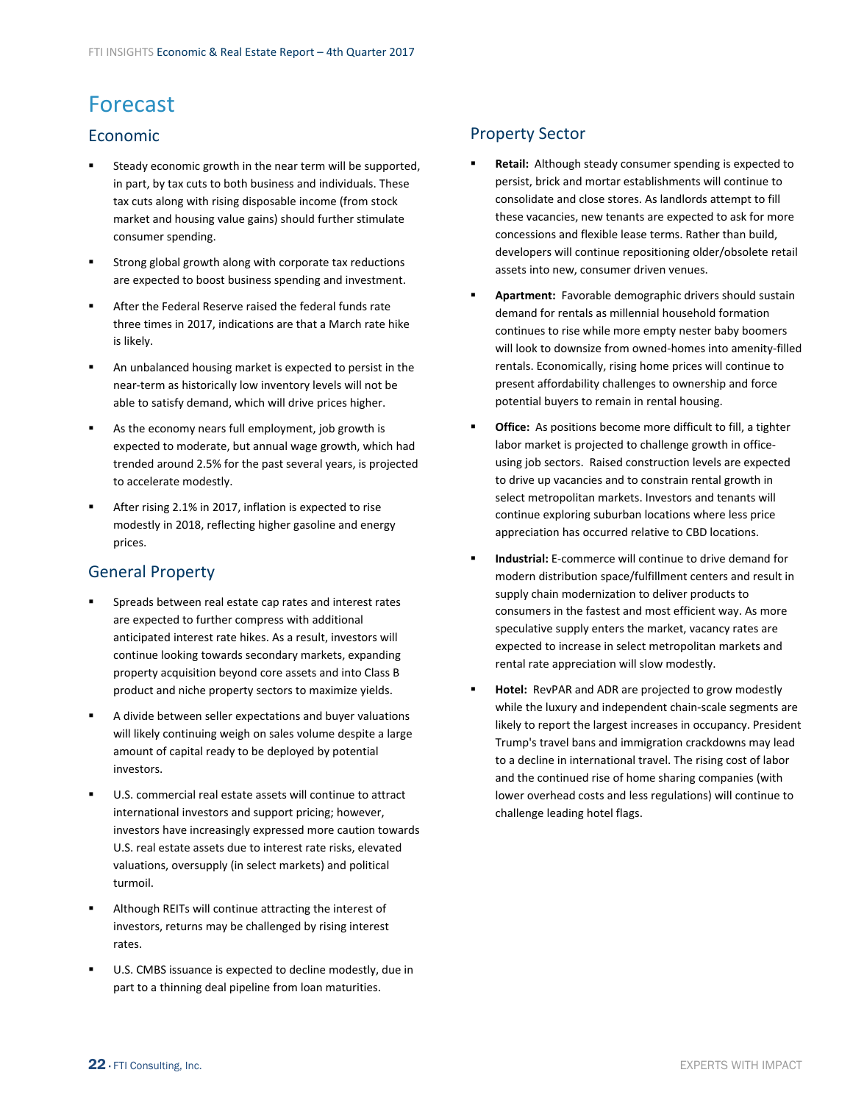# <span id="page-21-0"></span>Forecast

## Economic

- Steady economic growth in the near term will be supported, in part, by tax cuts to both business and individuals. These tax cuts along with rising disposable income (from stock market and housing value gains) should further stimulate consumer spending.
- Strong global growth along with corporate tax reductions are expected to boost business spending and investment.
- After the Federal Reserve raised the federal funds rate three times in 2017, indications are that a March rate hike is likely.
- An unbalanced housing market is expected to persist in the near‐term as historically low inventory levels will not be able to satisfy demand, which will drive prices higher.
- As the economy nears full employment, job growth is expected to moderate, but annual wage growth, which had trended around 2.5% for the past several years, is projected to accelerate modestly.
- After rising 2.1% in 2017, inflation is expected to rise modestly in 2018, reflecting higher gasoline and energy prices.

# General Property

- Spreads between real estate cap rates and interest rates are expected to further compress with additional anticipated interest rate hikes. As a result, investors will continue looking towards secondary markets, expanding property acquisition beyond core assets and into Class B product and niche property sectors to maximize yields.
- A divide between seller expectations and buyer valuations will likely continuing weigh on sales volume despite a large amount of capital ready to be deployed by potential investors.
- U.S. commercial real estate assets will continue to attract international investors and support pricing; however, investors have increasingly expressed more caution towards U.S. real estate assets due to interest rate risks, elevated valuations, oversupply (in select markets) and political turmoil.
- Although REITs will continue attracting the interest of investors, returns may be challenged by rising interest rates.
- U.S. CMBS issuance is expected to decline modestly, due in part to a thinning deal pipeline from loan maturities.

# Property Sector

- **Retail:** Although steady consumer spending is expected to persist, brick and mortar establishments will continue to consolidate and close stores. As landlords attempt to fill these vacancies, new tenants are expected to ask for more concessions and flexible lease terms. Rather than build, developers will continue repositioning older/obsolete retail assets into new, consumer driven venues.
- **Apartment:** Favorable demographic drivers should sustain demand for rentals as millennial household formation continues to rise while more empty nester baby boomers will look to downsize from owned‐homes into amenity‐filled rentals. Economically, rising home prices will continue to present affordability challenges to ownership and force potential buyers to remain in rental housing.
- **Office:** As positions become more difficult to fill, a tighter labor market is projected to challenge growth in office‐ using job sectors. Raised construction levels are expected to drive up vacancies and to constrain rental growth in select metropolitan markets. Investors and tenants will continue exploring suburban locations where less price appreciation has occurred relative to CBD locations.
- **Industrial:** E‐commerce will continue to drive demand for modern distribution space/fulfillment centers and result in supply chain modernization to deliver products to consumers in the fastest and most efficient way. As more speculative supply enters the market, vacancy rates are expected to increase in select metropolitan markets and rental rate appreciation will slow modestly.
- **Hotel:** RevPAR and ADR are projected to grow modestly while the luxury and independent chain‐scale segments are likely to report the largest increases in occupancy. President Trump's travel bans and immigration crackdowns may lead to a decline in international travel. The rising cost of labor and the continued rise of home sharing companies (with lower overhead costs and less regulations) will continue to challenge leading hotel flags.